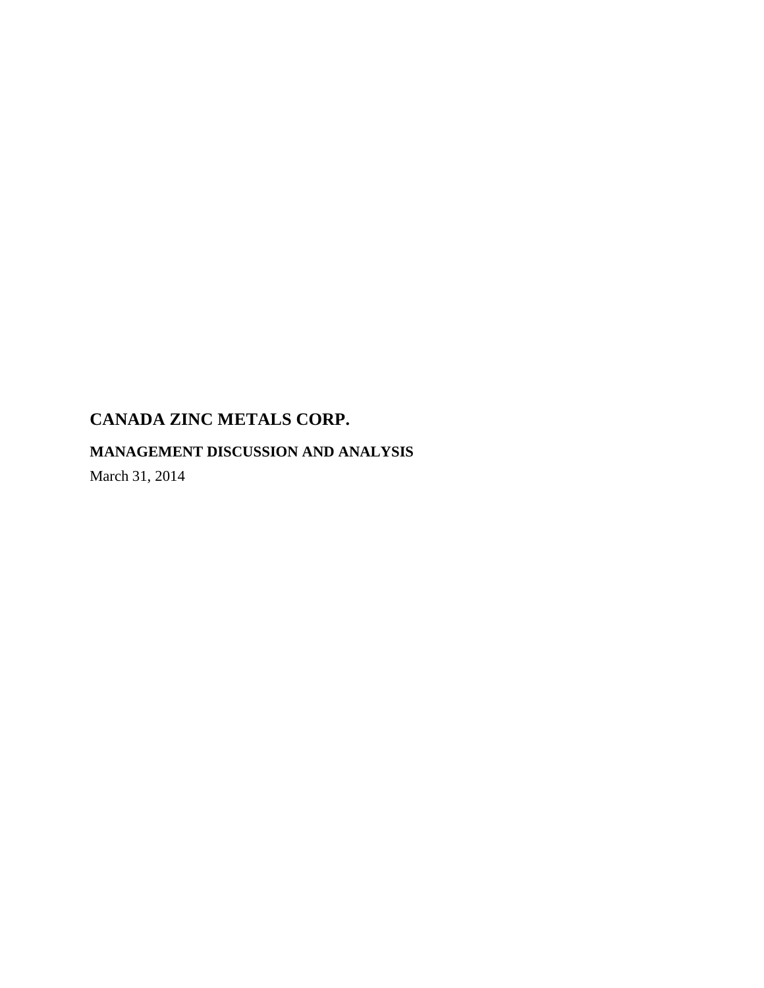# **MANAGEMENT DISCUSSION AND ANALYSIS**

March 31, 2014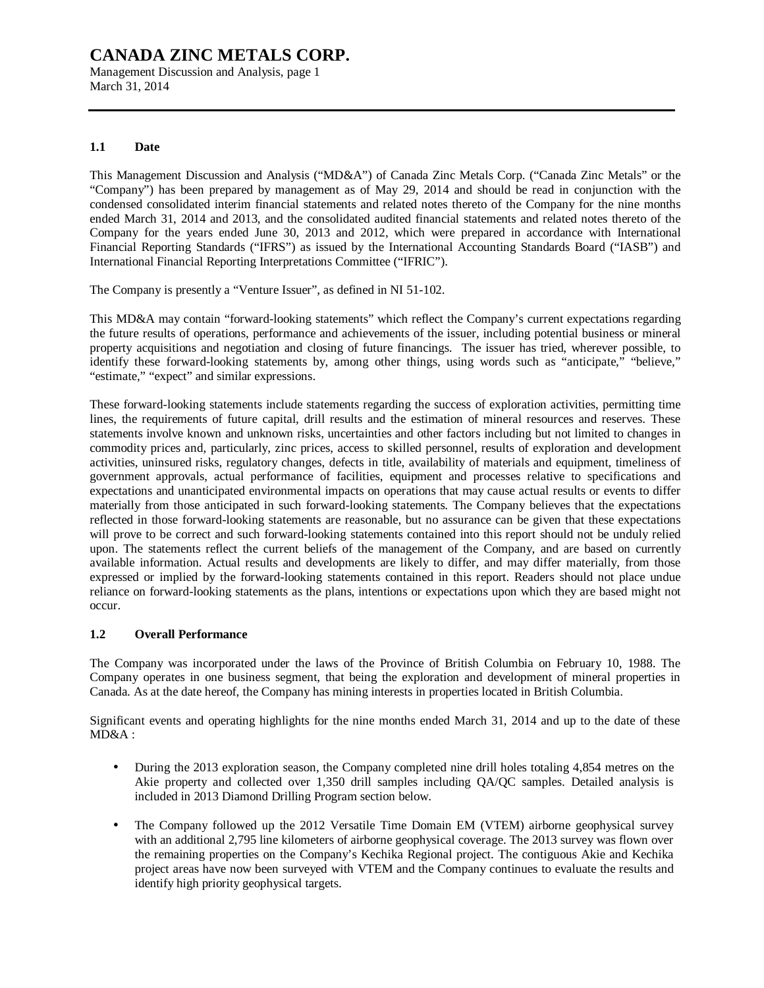Management Discussion and Analysis, page 1 March 31, 2014

### **1.1 Date**

This Management Discussion and Analysis ("MD&A") of Canada Zinc Metals Corp. ("Canada Zinc Metals" or the "Company") has been prepared by management as of May 29, 2014 and should be read in conjunction with the condensed consolidated interim financial statements and related notes thereto of the Company for the nine months ended March 31, 2014 and 2013, and the consolidated audited financial statements and related notes thereto of the Company for the years ended June 30, 2013 and 2012, which were prepared in accordance with International Financial Reporting Standards ("IFRS") as issued by the International Accounting Standards Board ("IASB") and International Financial Reporting Interpretations Committee ("IFRIC").

The Company is presently a "Venture Issuer", as defined in NI 51-102.

This MD&A may contain "forward-looking statements" which reflect the Company's current expectations regarding the future results of operations, performance and achievements of the issuer, including potential business or mineral property acquisitions and negotiation and closing of future financings. The issuer has tried, wherever possible, to identify these forward-looking statements by, among other things, using words such as "anticipate," "believe," "estimate," "expect" and similar expressions.

These forward-looking statements include statements regarding the success of exploration activities, permitting time lines, the requirements of future capital, drill results and the estimation of mineral resources and reserves. These statements involve known and unknown risks, uncertainties and other factors including but not limited to changes in commodity prices and, particularly, zinc prices, access to skilled personnel, results of exploration and development activities, uninsured risks, regulatory changes, defects in title, availability of materials and equipment, timeliness of government approvals, actual performance of facilities, equipment and processes relative to specifications and expectations and unanticipated environmental impacts on operations that may cause actual results or events to differ materially from those anticipated in such forward-looking statements. The Company believes that the expectations reflected in those forward-looking statements are reasonable, but no assurance can be given that these expectations will prove to be correct and such forward-looking statements contained into this report should not be unduly relied upon. The statements reflect the current beliefs of the management of the Company, and are based on currently available information. Actual results and developments are likely to differ, and may differ materially, from those expressed or implied by the forward-looking statements contained in this report. Readers should not place undue reliance on forward-looking statements as the plans, intentions or expectations upon which they are based might not occur.

## **1.2 Overall Performance**

The Company was incorporated under the laws of the Province of British Columbia on February 10, 1988. The Company operates in one business segment, that being the exploration and development of mineral properties in Canada. As at the date hereof, the Company has mining interests in properties located in British Columbia.

Significant events and operating highlights for the nine months ended March 31, 2014 and up to the date of these MD&A :

- During the 2013 exploration season, the Company completed nine drill holes totaling 4,854 metres on the Akie property and collected over 1,350 drill samples including QA/QC samples. Detailed analysis is included in 2013 Diamond Drilling Program section below.
- The Company followed up the 2012 Versatile Time Domain EM (VTEM) airborne geophysical survey with an additional 2,795 line kilometers of airborne geophysical coverage. The 2013 survey was flown over the remaining properties on the Company's Kechika Regional project. The contiguous Akie and Kechika project areas have now been surveyed with VTEM and the Company continues to evaluate the results and identify high priority geophysical targets.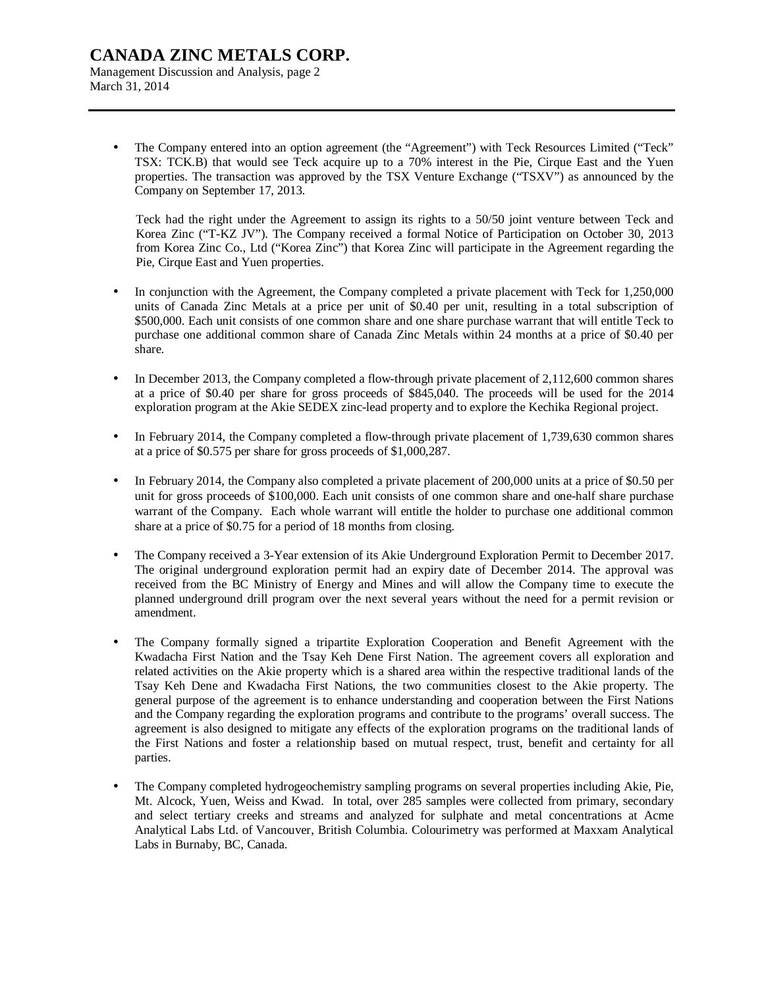Management Discussion and Analysis, page 2 March 31, 2014

> • The Company entered into an option agreement (the "Agreement") with Teck Resources Limited ("Teck" TSX: TCK.B) that would see Teck acquire up to a 70% interest in the Pie, Cirque East and the Yuen properties. The transaction was approved by the TSX Venture Exchange ("TSXV") as announced by the Company on September 17, 2013.

Teck had the right under the Agreement to assign its rights to a 50/50 joint venture between Teck and Korea Zinc ("T-KZ JV"). The Company received a formal Notice of Participation on October 30, 2013 from Korea Zinc Co., Ltd ("Korea Zinc") that Korea Zinc will participate in the Agreement regarding the Pie, Cirque East and Yuen properties.

- In conjunction with the Agreement, the Company completed a private placement with Teck for 1,250,000 units of Canada Zinc Metals at a price per unit of \$0.40 per unit, resulting in a total subscription of \$500,000. Each unit consists of one common share and one share purchase warrant that will entitle Teck to purchase one additional common share of Canada Zinc Metals within 24 months at a price of \$0.40 per share.
- In December 2013, the Company completed a flow-through private placement of 2,112,600 common shares at a price of \$0.40 per share for gross proceeds of \$845,040. The proceeds will be used for the 2014 exploration program at the Akie SEDEX zinc-lead property and to explore the Kechika Regional project.
- In February 2014, the Company completed a flow-through private placement of 1,739,630 common shares at a price of \$0.575 per share for gross proceeds of \$1,000,287.
- In February 2014, the Company also completed a private placement of 200,000 units at a price of \$0.50 per unit for gross proceeds of \$100,000. Each unit consists of one common share and one-half share purchase warrant of the Company. Each whole warrant will entitle the holder to purchase one additional common share at a price of \$0.75 for a period of 18 months from closing.
- The Company received a 3-Year extension of its Akie Underground Exploration Permit to December 2017. The original underground exploration permit had an expiry date of December 2014. The approval was received from the BC Ministry of Energy and Mines and will allow the Company time to execute the planned underground drill program over the next several years without the need for a permit revision or amendment.
- The Company formally signed a tripartite Exploration Cooperation and Benefit Agreement with the Kwadacha First Nation and the Tsay Keh Dene First Nation. The agreement covers all exploration and related activities on the Akie property which is a shared area within the respective traditional lands of the Tsay Keh Dene and Kwadacha First Nations, the two communities closest to the Akie property. The general purpose of the agreement is to enhance understanding and cooperation between the First Nations and the Company regarding the exploration programs and contribute to the programs' overall success. The agreement is also designed to mitigate any effects of the exploration programs on the traditional lands of the First Nations and foster a relationship based on mutual respect, trust, benefit and certainty for all parties.
- The Company completed hydrogeochemistry sampling programs on several properties including Akie, Pie, Mt. Alcock, Yuen, Weiss and Kwad. In total, over 285 samples were collected from primary, secondary and select tertiary creeks and streams and analyzed for sulphate and metal concentrations at Acme Analytical Labs Ltd. of Vancouver, British Columbia. Colourimetry was performed at Maxxam Analytical Labs in Burnaby, BC, Canada.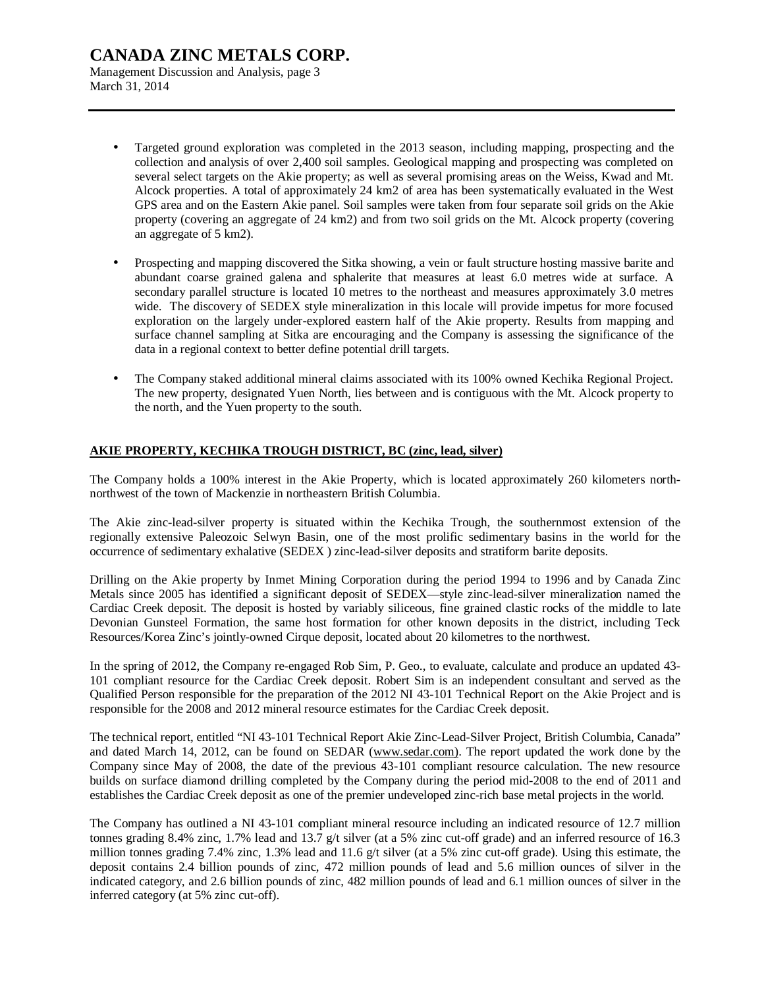Management Discussion and Analysis, page 3 March 31, 2014

- Targeted ground exploration was completed in the 2013 season, including mapping, prospecting and the collection and analysis of over 2,400 soil samples. Geological mapping and prospecting was completed on several select targets on the Akie property; as well as several promising areas on the Weiss, Kwad and Mt. Alcock properties. A total of approximately 24 km2 of area has been systematically evaluated in the West GPS area and on the Eastern Akie panel. Soil samples were taken from four separate soil grids on the Akie property (covering an aggregate of 24 km2) and from two soil grids on the Mt. Alcock property (covering an aggregate of 5 km2).
- Prospecting and mapping discovered the Sitka showing, a vein or fault structure hosting massive barite and abundant coarse grained galena and sphalerite that measures at least 6.0 metres wide at surface. A secondary parallel structure is located 10 metres to the northeast and measures approximately 3.0 metres wide. The discovery of SEDEX style mineralization in this locale will provide impetus for more focused exploration on the largely under-explored eastern half of the Akie property. Results from mapping and surface channel sampling at Sitka are encouraging and the Company is assessing the significance of the data in a regional context to better define potential drill targets.
- The Company staked additional mineral claims associated with its 100% owned Kechika Regional Project. The new property, designated Yuen North, lies between and is contiguous with the Mt. Alcock property to the north, and the Yuen property to the south.

### **AKIE PROPERTY, KECHIKA TROUGH DISTRICT, BC (zinc, lead, silver)**

The Company holds a 100% interest in the Akie Property, which is located approximately 260 kilometers northnorthwest of the town of Mackenzie in northeastern British Columbia.

The Akie zinc-lead-silver property is situated within the Kechika Trough, the southernmost extension of the regionally extensive Paleozoic Selwyn Basin, one of the most prolific sedimentary basins in the world for the occurrence of sedimentary exhalative (SEDEX ) zinc-lead-silver deposits and stratiform barite deposits.

Drilling on the Akie property by Inmet Mining Corporation during the period 1994 to 1996 and by Canada Zinc Metals since 2005 has identified a significant deposit of SEDEX—style zinc-lead-silver mineralization named the Cardiac Creek deposit. The deposit is hosted by variably siliceous, fine grained clastic rocks of the middle to late Devonian Gunsteel Formation, the same host formation for other known deposits in the district, including Teck Resources/Korea Zinc's jointly-owned Cirque deposit, located about 20 kilometres to the northwest.

In the spring of 2012, the Company re-engaged Rob Sim, P. Geo., to evaluate, calculate and produce an updated 43- 101 compliant resource for the Cardiac Creek deposit. Robert Sim is an independent consultant and served as the Qualified Person responsible for the preparation of the 2012 NI 43-101 Technical Report on the Akie Project and is responsible for the 2008 and 2012 mineral resource estimates for the Cardiac Creek deposit.

The technical report, entitled "NI 43-101 Technical Report Akie Zinc-Lead-Silver Project, British Columbia, Canada" and dated March 14, 2012, can be found on SEDAR [\(www.sedar.com\).](http://www.sedar.com)) The report updated the work done by the Company since May of 2008, the date of the previous 43-101 compliant resource calculation. The new resource builds on surface diamond drilling completed by the Company during the period mid-2008 to the end of 2011 and establishes the Cardiac Creek deposit as one of the premier undeveloped zinc-rich base metal projects in the world.

The Company has outlined a NI 43-101 compliant mineral resource including an indicated resource of 12.7 million tonnes grading 8.4% zinc, 1.7% lead and 13.7 g/t silver (at a 5% zinc cut-off grade) and an inferred resource of 16.3 million tonnes grading 7.4% zinc, 1.3% lead and 11.6 g/t silver (at a 5% zinc cut-off grade). Using this estimate, the deposit contains 2.4 billion pounds of zinc, 472 million pounds of lead and 5.6 million ounces of silver in the indicated category, and 2.6 billion pounds of zinc, 482 million pounds of lead and 6.1 million ounces of silver in the inferred category (at 5% zinc cut-off).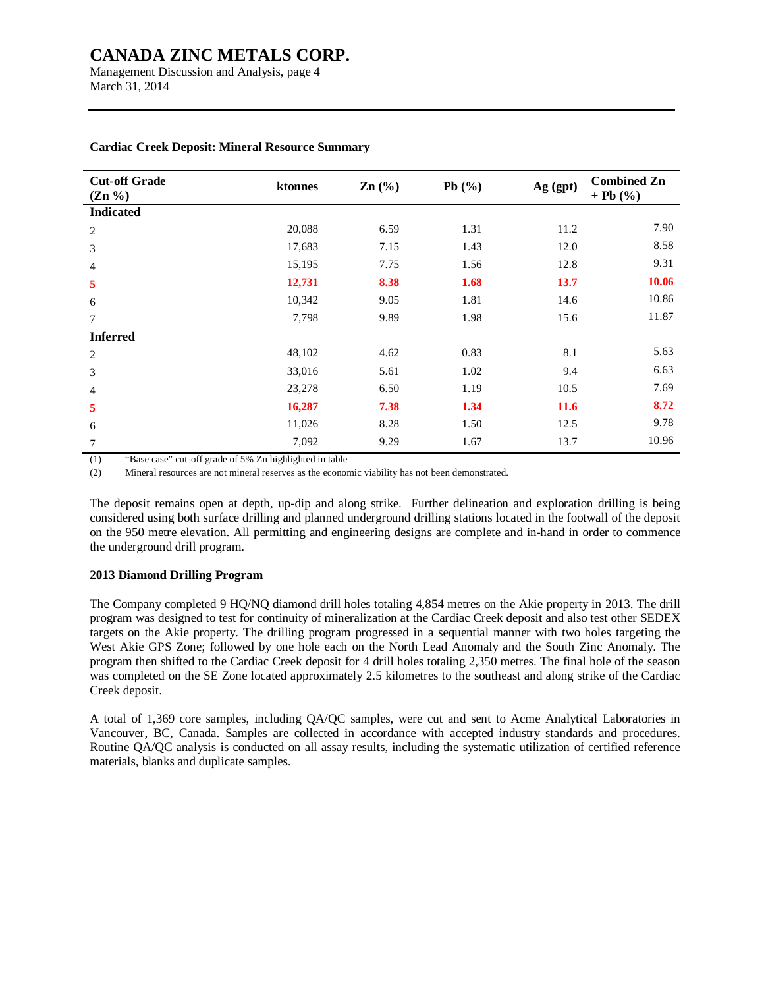Management Discussion and Analysis, page 4 March 31, 2014

| <b>Cut-off Grade</b><br>$(Zn \, \%)$ | ktonnes | $\text{Zn}$ $\left(\frac{9}{6}\right)$ | Pb $(\% )$ | Ag (gpt) | <b>Combined Zn</b><br>$+ Pb (%)$ |
|--------------------------------------|---------|----------------------------------------|------------|----------|----------------------------------|
| <b>Indicated</b>                     |         |                                        |            |          |                                  |
| $\overline{c}$                       | 20,088  | 6.59                                   | 1.31       | 11.2     | 7.90                             |
| 3                                    | 17,683  | 7.15                                   | 1.43       | 12.0     | 8.58                             |
| $\overline{4}$                       | 15,195  | 7.75                                   | 1.56       | 12.8     | 9.31                             |
| 5                                    | 12,731  | 8.38                                   | 1.68       | 13.7     | 10.06                            |
| 6                                    | 10,342  | 9.05                                   | 1.81       | 14.6     | 10.86                            |
| 7                                    | 7,798   | 9.89                                   | 1.98       | 15.6     | 11.87                            |
| <b>Inferred</b>                      |         |                                        |            |          |                                  |
| $\overline{c}$                       | 48,102  | 4.62                                   | 0.83       | 8.1      | 5.63                             |
| 3                                    | 33,016  | 5.61                                   | 1.02       | 9.4      | 6.63                             |
| $\overline{4}$                       | 23,278  | 6.50                                   | 1.19       | 10.5     | 7.69                             |
| 5                                    | 16,287  | 7.38                                   | 1.34       | 11.6     | 8.72                             |
| 6                                    | 11,026  | 8.28                                   | 1.50       | 12.5     | 9.78                             |
| 7                                    | 7,092   | 9.29                                   | 1.67       | 13.7     | 10.96                            |

#### **Cardiac Creek Deposit: Mineral Resource Summary**

(1) "Base case" cut-off grade of 5% Zn highlighted in table

(2) Mineral resources are not mineral reserves as the economic viability has not been demonstrated.

The deposit remains open at depth, up-dip and along strike. Further delineation and exploration drilling is being considered using both surface drilling and planned underground drilling stations located in the footwall of the deposit on the 950 metre elevation. All permitting and engineering designs are complete and in-hand in order to commence the underground drill program.

### **2013 Diamond Drilling Program**

The Company completed 9 HQ/NQ diamond drill holes totaling 4,854 metres on the Akie property in 2013. The drill program was designed to test for continuity of mineralization at the Cardiac Creek deposit and also test other SEDEX targets on the Akie property. The drilling program progressed in a sequential manner with two holes targeting the West Akie GPS Zone; followed by one hole each on the North Lead Anomaly and the South Zinc Anomaly. The program then shifted to the Cardiac Creek deposit for 4 drill holes totaling 2,350 metres. The final hole of the season was completed on the SE Zone located approximately 2.5 kilometres to the southeast and along strike of the Cardiac Creek deposit.

A total of 1,369 core samples, including QA/QC samples, were cut and sent to Acme Analytical Laboratories in Vancouver, BC, Canada. Samples are collected in accordance with accepted industry standards and procedures. Routine QA/QC analysis is conducted on all assay results, including the systematic utilization of certified reference materials, blanks and duplicate samples.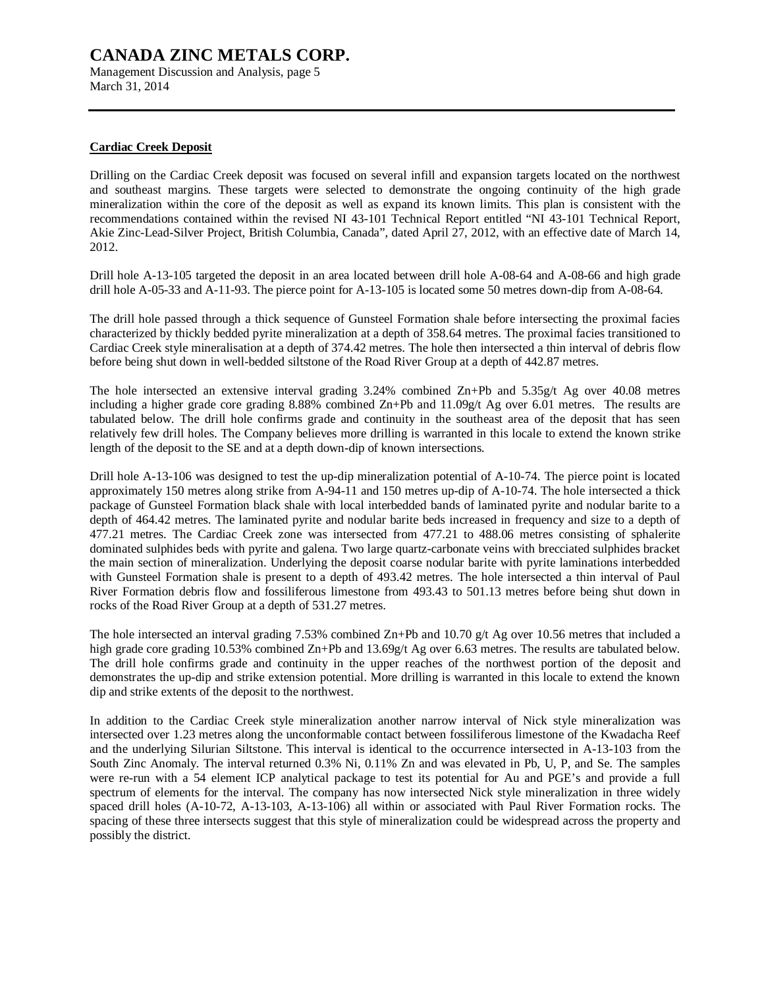Management Discussion and Analysis, page 5 March 31, 2014

### **Cardiac Creek Deposit**

Drilling on the Cardiac Creek deposit was focused on several infill and expansion targets located on the northwest and southeast margins. These targets were selected to demonstrate the ongoing continuity of the high grade mineralization within the core of the deposit as well as expand its known limits. This plan is consistent with the recommendations contained within the revised NI 43-101 Technical Report entitled "NI 43-101 Technical Report, Akie Zinc-Lead-Silver Project, British Columbia, Canada", dated April 27, 2012, with an effective date of March 14, 2012.

Drill hole A-13-105 targeted the deposit in an area located between drill hole A-08-64 and A-08-66 and high grade drill hole A-05-33 and A-11-93. The pierce point for A-13-105 is located some 50 metres down-dip from A-08-64.

The drill hole passed through a thick sequence of Gunsteel Formation shale before intersecting the proximal facies characterized by thickly bedded pyrite mineralization at a depth of 358.64 metres. The proximal facies transitioned to Cardiac Creek style mineralisation at a depth of 374.42 metres. The hole then intersected a thin interval of debris flow before being shut down in well-bedded siltstone of the Road River Group at a depth of 442.87 metres.

The hole intersected an extensive interval grading 3.24% combined Zn+Pb and 5.35g/t Ag over 40.08 metres including a higher grade core grading 8.88% combined Zn+Pb and 11.09g/t Ag over 6.01 metres. The results are tabulated below. The drill hole confirms grade and continuity in the southeast area of the deposit that has seen relatively few drill holes. The Company believes more drilling is warranted in this locale to extend the known strike length of the deposit to the SE and at a depth down-dip of known intersections.

Drill hole A-13-106 was designed to test the up-dip mineralization potential of A-10-74. The pierce point is located approximately 150 metres along strike from A-94-11 and 150 metres up-dip of A-10-74. The hole intersected a thick package of Gunsteel Formation black shale with local interbedded bands of laminated pyrite and nodular barite to a depth of 464.42 metres. The laminated pyrite and nodular barite beds increased in frequency and size to a depth of 477.21 metres. The Cardiac Creek zone was intersected from 477.21 to 488.06 metres consisting of sphalerite dominated sulphides beds with pyrite and galena. Two large quartz-carbonate veins with brecciated sulphides bracket the main section of mineralization. Underlying the deposit coarse nodular barite with pyrite laminations interbedded with Gunsteel Formation shale is present to a depth of 493.42 metres. The hole intersected a thin interval of Paul River Formation debris flow and fossiliferous limestone from 493.43 to 501.13 metres before being shut down in rocks of the Road River Group at a depth of 531.27 metres.

The hole intersected an interval grading 7.53% combined Zn+Pb and 10.70 g/t Ag over 10.56 metres that included a high grade core grading 10.53% combined Zn+Pb and 13.69g/t Ag over 6.63 metres. The results are tabulated below. The drill hole confirms grade and continuity in the upper reaches of the northwest portion of the deposit and demonstrates the up-dip and strike extension potential. More drilling is warranted in this locale to extend the known dip and strike extents of the deposit to the northwest.

In addition to the Cardiac Creek style mineralization another narrow interval of Nick style mineralization was intersected over 1.23 metres along the unconformable contact between fossiliferous limestone of the Kwadacha Reef and the underlying Silurian Siltstone. This interval is identical to the occurrence intersected in A-13-103 from the South Zinc Anomaly. The interval returned 0.3% Ni, 0.11% Zn and was elevated in Pb, U, P, and Se. The samples were re-run with a 54 element ICP analytical package to test its potential for Au and PGE's and provide a full spectrum of elements for the interval. The company has now intersected Nick style mineralization in three widely spaced drill holes (A-10-72, A-13-103, A-13-106) all within or associated with Paul River Formation rocks. The spacing of these three intersects suggest that this style of mineralization could be widespread across the property and possibly the district.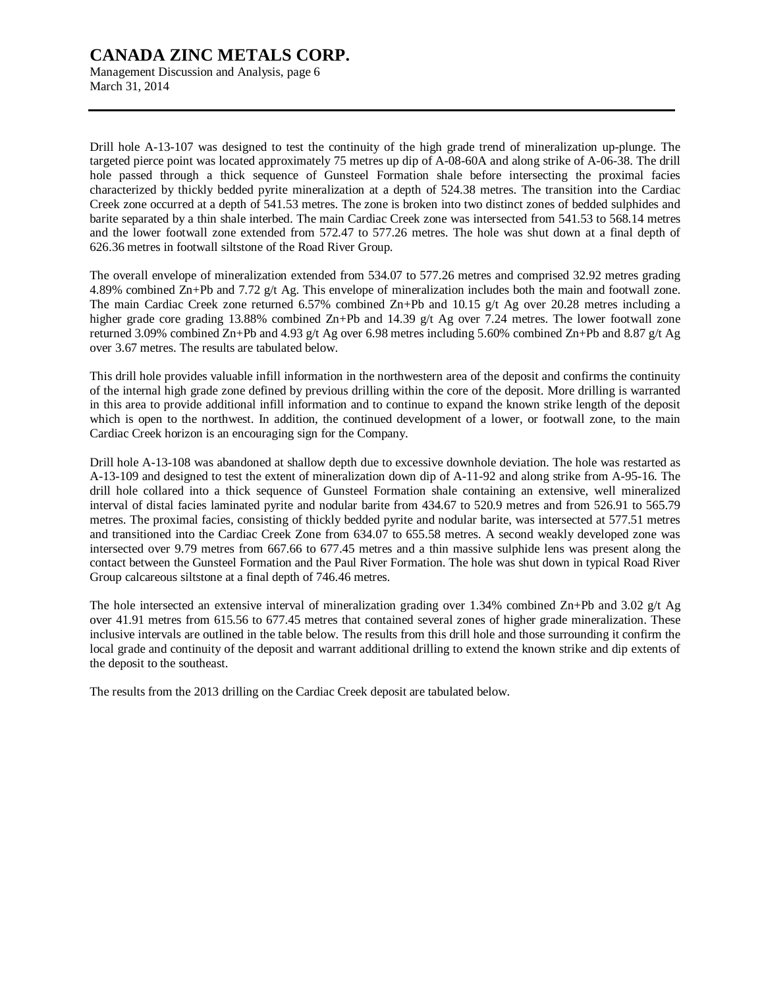Management Discussion and Analysis, page 6 March 31, 2014

Drill hole A-13-107 was designed to test the continuity of the high grade trend of mineralization up-plunge. The targeted pierce point was located approximately 75 metres up dip of A-08-60A and along strike of A-06-38. The drill hole passed through a thick sequence of Gunsteel Formation shale before intersecting the proximal facies characterized by thickly bedded pyrite mineralization at a depth of 524.38 metres. The transition into the Cardiac Creek zone occurred at a depth of 541.53 metres. The zone is broken into two distinct zones of bedded sulphides and barite separated by a thin shale interbed. The main Cardiac Creek zone was intersected from 541.53 to 568.14 metres and the lower footwall zone extended from 572.47 to 577.26 metres. The hole was shut down at a final depth of 626.36 metres in footwall siltstone of the Road River Group.

The overall envelope of mineralization extended from 534.07 to 577.26 metres and comprised 32.92 metres grading 4.89% combined Zn+Pb and 7.72 g/t Ag. This envelope of mineralization includes both the main and footwall zone. The main Cardiac Creek zone returned 6.57% combined Zn+Pb and 10.15 g/t Ag over 20.28 metres including a higher grade core grading 13.88% combined Zn+Pb and 14.39 g/t Ag over 7.24 metres. The lower footwall zone returned 3.09% combined Zn+Pb and 4.93 g/t Ag over 6.98 metres including 5.60% combined Zn+Pb and 8.87 g/t Ag over 3.67 metres. The results are tabulated below.

This drill hole provides valuable infill information in the northwestern area of the deposit and confirms the continuity of the internal high grade zone defined by previous drilling within the core of the deposit. More drilling is warranted in this area to provide additional infill information and to continue to expand the known strike length of the deposit which is open to the northwest. In addition, the continued development of a lower, or footwall zone, to the main Cardiac Creek horizon is an encouraging sign for the Company.

Drill hole A-13-108 was abandoned at shallow depth due to excessive downhole deviation. The hole was restarted as A-13-109 and designed to test the extent of mineralization down dip of A-11-92 and along strike from A-95-16. The drill hole collared into a thick sequence of Gunsteel Formation shale containing an extensive, well mineralized interval of distal facies laminated pyrite and nodular barite from 434.67 to 520.9 metres and from 526.91 to 565.79 metres. The proximal facies, consisting of thickly bedded pyrite and nodular barite, was intersected at 577.51 metres and transitioned into the Cardiac Creek Zone from 634.07 to 655.58 metres. A second weakly developed zone was intersected over 9.79 metres from 667.66 to 677.45 metres and a thin massive sulphide lens was present along the contact between the Gunsteel Formation and the Paul River Formation. The hole was shut down in typical Road River Group calcareous siltstone at a final depth of 746.46 metres.

The hole intersected an extensive interval of mineralization grading over 1.34% combined  $\text{Zn+Pb}$  and 3.02 g/t Ag over 41.91 metres from 615.56 to 677.45 metres that contained several zones of higher grade mineralization. These inclusive intervals are outlined in the table below. The results from this drill hole and those surrounding it confirm the local grade and continuity of the deposit and warrant additional drilling to extend the known strike and dip extents of the deposit to the southeast.

The results from the 2013 drilling on the Cardiac Creek deposit are tabulated below.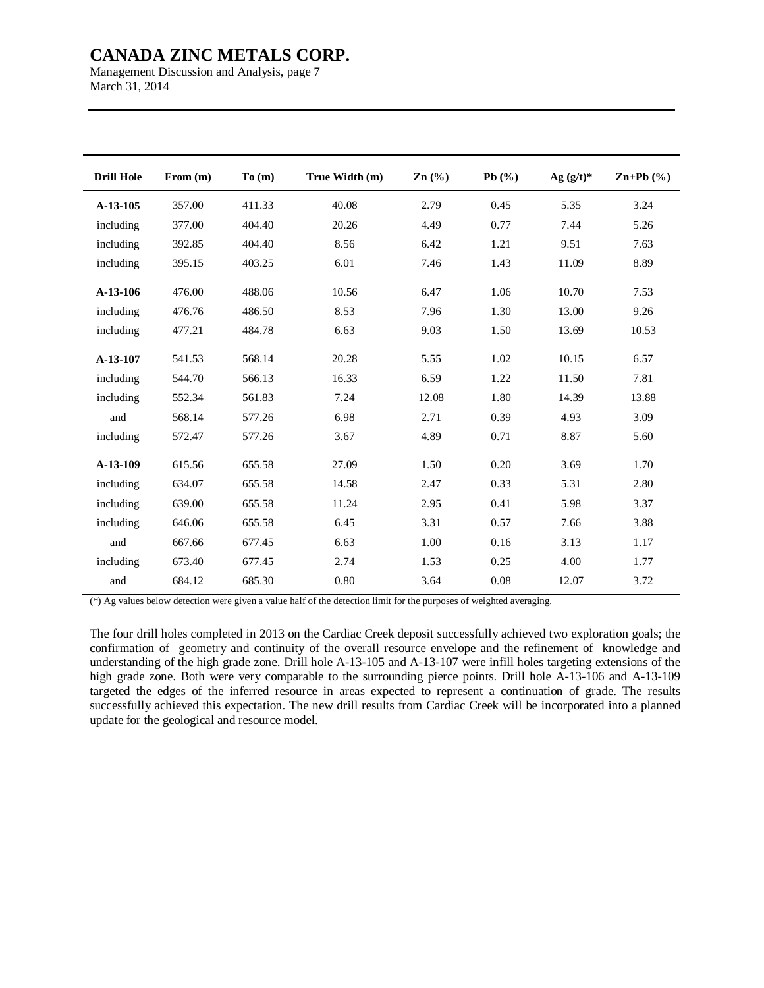Management Discussion and Analysis, page 7 March 31, 2014

| <b>Drill Hole</b> | From (m) | To(m)  | True Width (m) | $\mathbf{Zn}$ (%) | Pb $(\%)$ | Ag $(g/t)^*$ | $\mathbf{Zn+Pb}$ (%) |
|-------------------|----------|--------|----------------|-------------------|-----------|--------------|----------------------|
| A-13-105          | 357.00   | 411.33 | 40.08          | 2.79              | 0.45      | 5.35         | 3.24                 |
| including         | 377.00   | 404.40 | 20.26          | 4.49              | 0.77      | 7.44         | 5.26                 |
| including         | 392.85   | 404.40 | 8.56           | 6.42              | 1.21      | 9.51         | 7.63                 |
| including         | 395.15   | 403.25 | 6.01           | 7.46              | 1.43      | 11.09        | 8.89                 |
| A-13-106          | 476.00   | 488.06 | 10.56          | 6.47              | 1.06      | 10.70        | 7.53                 |
| including         | 476.76   | 486.50 | 8.53           | 7.96              | 1.30      | 13.00        | 9.26                 |
| including         | 477.21   | 484.78 | 6.63           | 9.03              | 1.50      | 13.69        | 10.53                |
| A-13-107          | 541.53   | 568.14 | 20.28          | 5.55              | 1.02      | 10.15        | 6.57                 |
| including         | 544.70   | 566.13 | 16.33          | 6.59              | 1.22      | 11.50        | 7.81                 |
| including         | 552.34   | 561.83 | 7.24           | 12.08             | 1.80      | 14.39        | 13.88                |
| and               | 568.14   | 577.26 | 6.98           | 2.71              | 0.39      | 4.93         | 3.09                 |
| including         | 572.47   | 577.26 | 3.67           | 4.89              | 0.71      | 8.87         | 5.60                 |
| A-13-109          | 615.56   | 655.58 | 27.09          | 1.50              | 0.20      | 3.69         | 1.70                 |
| including         | 634.07   | 655.58 | 14.58          | 2.47              | 0.33      | 5.31         | 2.80                 |
| including         | 639.00   | 655.58 | 11.24          | 2.95              | 0.41      | 5.98         | 3.37                 |
| including         | 646.06   | 655.58 | 6.45           | 3.31              | 0.57      | 7.66         | 3.88                 |
| and               | 667.66   | 677.45 | 6.63           | 1.00              | 0.16      | 3.13         | 1.17                 |
| including         | 673.40   | 677.45 | 2.74           | 1.53              | 0.25      | 4.00         | 1.77                 |
| and               | 684.12   | 685.30 | 0.80           | 3.64              | 0.08      | 12.07        | 3.72                 |

(\*) Ag values below detection were given a value half of the detection limit for the purposes of weighted averaging.

The four drill holes completed in 2013 on the Cardiac Creek deposit successfully achieved two exploration goals; the confirmation of geometry and continuity of the overall resource envelope and the refinement of knowledge and understanding of the high grade zone. Drill hole A-13-105 and A-13-107 were infill holes targeting extensions of the high grade zone. Both were very comparable to the surrounding pierce points. Drill hole A-13-106 and A-13-109 targeted the edges of the inferred resource in areas expected to represent a continuation of grade. The results successfully achieved this expectation. The new drill results from Cardiac Creek will be incorporated into a planned update for the geological and resource model.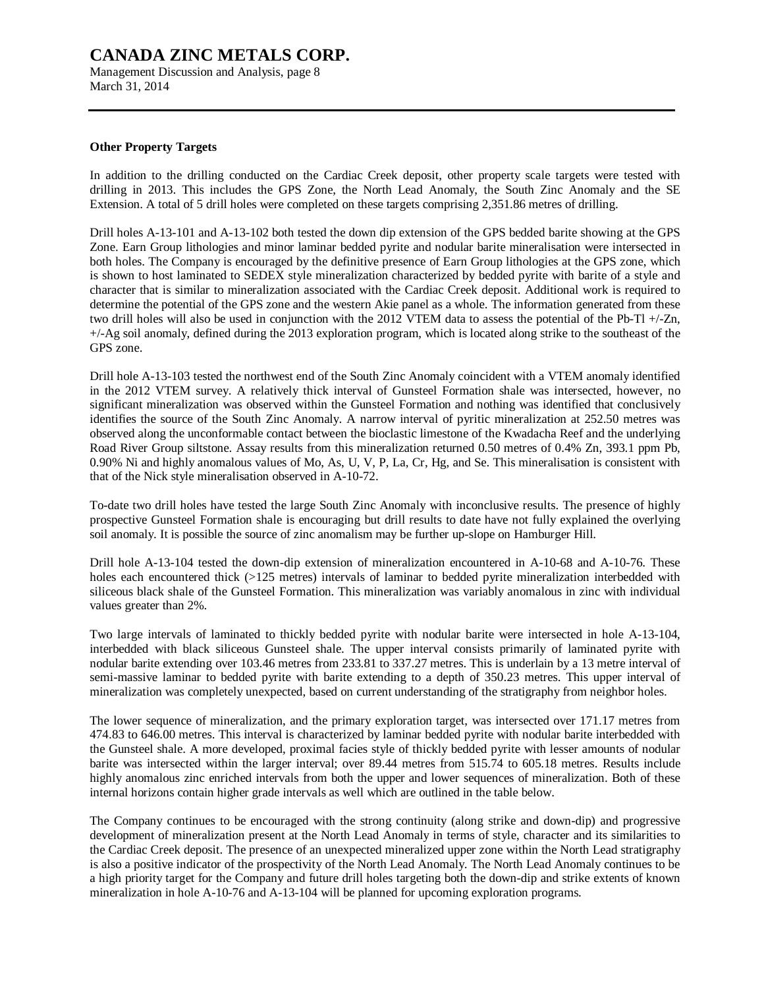Management Discussion and Analysis, page 8 March 31, 2014

### **Other Property Targets**

In addition to the drilling conducted on the Cardiac Creek deposit, other property scale targets were tested with drilling in 2013. This includes the GPS Zone, the North Lead Anomaly, the South Zinc Anomaly and the SE Extension. A total of 5 drill holes were completed on these targets comprising 2,351.86 metres of drilling.

Drill holes A-13-101 and A-13-102 both tested the down dip extension of the GPS bedded barite showing at the GPS Zone. Earn Group lithologies and minor laminar bedded pyrite and nodular barite mineralisation were intersected in both holes. The Company is encouraged by the definitive presence of Earn Group lithologies at the GPS zone, which is shown to host laminated to SEDEX style mineralization characterized by bedded pyrite with barite of a style and character that is similar to mineralization associated with the Cardiac Creek deposit. Additional work is required to determine the potential of the GPS zone and the western Akie panel as a whole. The information generated from these two drill holes will also be used in conjunction with the 2012 VTEM data to assess the potential of the Pb-Tl +/-Zn, +/-Ag soil anomaly, defined during the 2013 exploration program, which is located along strike to the southeast of the GPS zone.

Drill hole A-13-103 tested the northwest end of the South Zinc Anomaly coincident with a VTEM anomaly identified in the 2012 VTEM survey. A relatively thick interval of Gunsteel Formation shale was intersected, however, no significant mineralization was observed within the Gunsteel Formation and nothing was identified that conclusively identifies the source of the South Zinc Anomaly. A narrow interval of pyritic mineralization at 252.50 metres was observed along the unconformable contact between the bioclastic limestone of the Kwadacha Reef and the underlying Road River Group siltstone. Assay results from this mineralization returned 0.50 metres of 0.4% Zn, 393.1 ppm Pb, 0.90% Ni and highly anomalous values of Mo, As, U, V, P, La, Cr, Hg, and Se. This mineralisation is consistent with that of the Nick style mineralisation observed in A-10-72.

To-date two drill holes have tested the large South Zinc Anomaly with inconclusive results. The presence of highly prospective Gunsteel Formation shale is encouraging but drill results to date have not fully explained the overlying soil anomaly. It is possible the source of zinc anomalism may be further up-slope on Hamburger Hill.

Drill hole A-13-104 tested the down-dip extension of mineralization encountered in A-10-68 and A-10-76. These holes each encountered thick (>125 metres) intervals of laminar to bedded pyrite mineralization interbedded with siliceous black shale of the Gunsteel Formation. This mineralization was variably anomalous in zinc with individual values greater than 2%.

Two large intervals of laminated to thickly bedded pyrite with nodular barite were intersected in hole A-13-104, interbedded with black siliceous Gunsteel shale. The upper interval consists primarily of laminated pyrite with nodular barite extending over 103.46 metres from 233.81 to 337.27 metres. This is underlain by a 13 metre interval of semi-massive laminar to bedded pyrite with barite extending to a depth of 350.23 metres. This upper interval of mineralization was completely unexpected, based on current understanding of the stratigraphy from neighbor holes.

The lower sequence of mineralization, and the primary exploration target, was intersected over 171.17 metres from 474.83 to 646.00 metres. This interval is characterized by laminar bedded pyrite with nodular barite interbedded with the Gunsteel shale. A more developed, proximal facies style of thickly bedded pyrite with lesser amounts of nodular barite was intersected within the larger interval; over 89.44 metres from 515.74 to 605.18 metres. Results include highly anomalous zinc enriched intervals from both the upper and lower sequences of mineralization. Both of these internal horizons contain higher grade intervals as well which are outlined in the table below.

The Company continues to be encouraged with the strong continuity (along strike and down-dip) and progressive development of mineralization present at the North Lead Anomaly in terms of style, character and its similarities to the Cardiac Creek deposit. The presence of an unexpected mineralized upper zone within the North Lead stratigraphy is also a positive indicator of the prospectivity of the North Lead Anomaly. The North Lead Anomaly continues to be a high priority target for the Company and future drill holes targeting both the down-dip and strike extents of known mineralization in hole A-10-76 and A-13-104 will be planned for upcoming exploration programs.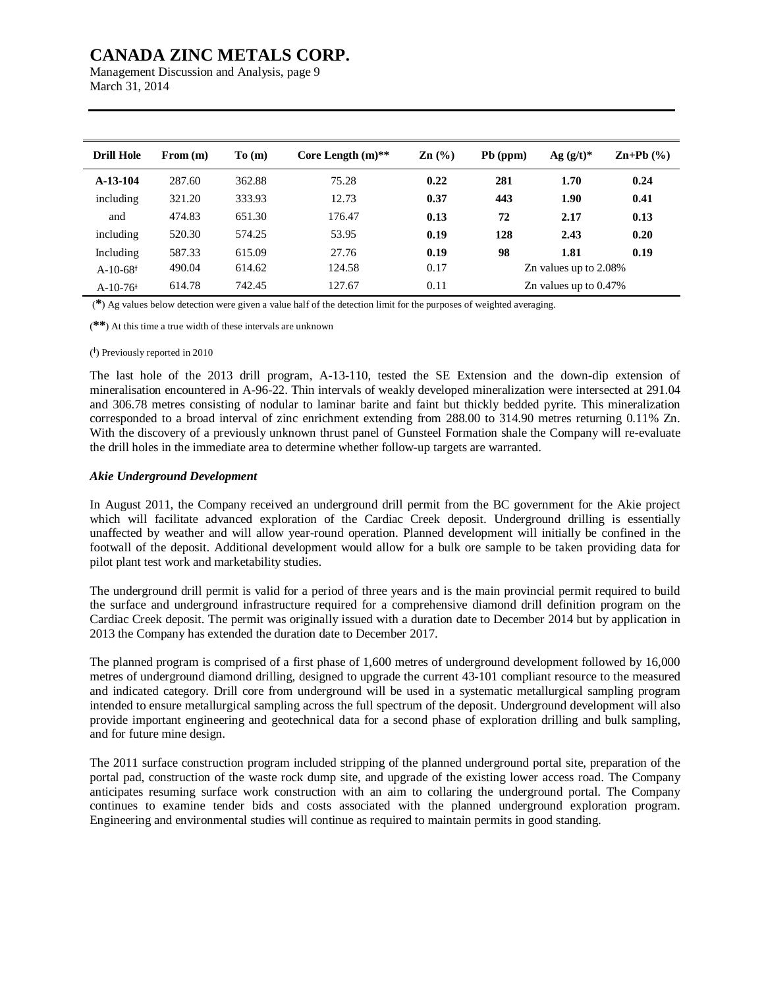Management Discussion and Analysis, page 9 March 31, 2014

| <b>Drill Hole</b>      | From (m) | To(m)  | Core Length $(m)$ ** | $\mathbf{Zn}$ (%) | Pb (ppm) | Ag $(g/t)^*$             | $\mathbf{Zn+Pb}$ (%) |
|------------------------|----------|--------|----------------------|-------------------|----------|--------------------------|----------------------|
| A-13-104               | 287.60   | 362.88 | 75.28                | 0.22              | 281      | 1.70                     | 0.24                 |
| including              | 321.20   | 333.93 | 12.73                | 0.37              | 443      | 1.90                     | 0.41                 |
| and                    | 474.83   | 651.30 | 176.47               | 0.13              | 72       | 2.17                     | 0.13                 |
| including              | 520.30   | 574.25 | 53.95                | 0.19              | 128      | 2.43                     | 0.20                 |
| Including              | 587.33   | 615.09 | 27.76                | 0.19              | 98       | 1.81                     | 0.19                 |
| $A-10-68$ <sup>+</sup> | 490.04   | 614.62 | 124.58               | 0.17              |          | Zn values up to 2.08%    |                      |
| $A-10-76$ <sup>+</sup> | 614.78   | 742.45 | 127.67               | 0.11              |          | Zn values up to $0.47\%$ |                      |

(**\***) Ag values below detection were given a value half of the detection limit for the purposes of weighted averaging.

(**\*\***) At this time a true width of these intervals are unknown

#### ( Ɨ ) Previously reported in 2010

The last hole of the 2013 drill program, A-13-110, tested the SE Extension and the down-dip extension of mineralisation encountered in A-96-22. Thin intervals of weakly developed mineralization were intersected at 291.04 and 306.78 metres consisting of nodular to laminar barite and faint but thickly bedded pyrite. This mineralization corresponded to a broad interval of zinc enrichment extending from 288.00 to 314.90 metres returning 0.11% Zn. With the discovery of a previously unknown thrust panel of Gunsteel Formation shale the Company will re-evaluate the drill holes in the immediate area to determine whether follow-up targets are warranted.

#### *Akie Underground Development*

In August 2011, the Company received an underground drill permit from the BC government for the Akie project which will facilitate advanced exploration of the Cardiac Creek deposit. Underground drilling is essentially unaffected by weather and will allow year-round operation. Planned development will initially be confined in the footwall of the deposit. Additional development would allow for a bulk ore sample to be taken providing data for pilot plant test work and marketability studies.

The underground drill permit is valid for a period of three years and is the main provincial permit required to build the surface and underground infrastructure required for a comprehensive diamond drill definition program on the Cardiac Creek deposit. The permit was originally issued with a duration date to December 2014 but by application in 2013 the Company has extended the duration date to December 2017.

The planned program is comprised of a first phase of 1,600 metres of underground development followed by 16,000 metres of underground diamond drilling, designed to upgrade the current 43-101 compliant resource to the measured and indicated category. Drill core from underground will be used in a systematic metallurgical sampling program intended to ensure metallurgical sampling across the full spectrum of the deposit. Underground development will also provide important engineering and geotechnical data for a second phase of exploration drilling and bulk sampling, and for future mine design.

The 2011 surface construction program included stripping of the planned underground portal site, preparation of the portal pad, construction of the waste rock dump site, and upgrade of the existing lower access road. The Company anticipates resuming surface work construction with an aim to collaring the underground portal. The Company continues to examine tender bids and costs associated with the planned underground exploration program. Engineering and environmental studies will continue as required to maintain permits in good standing.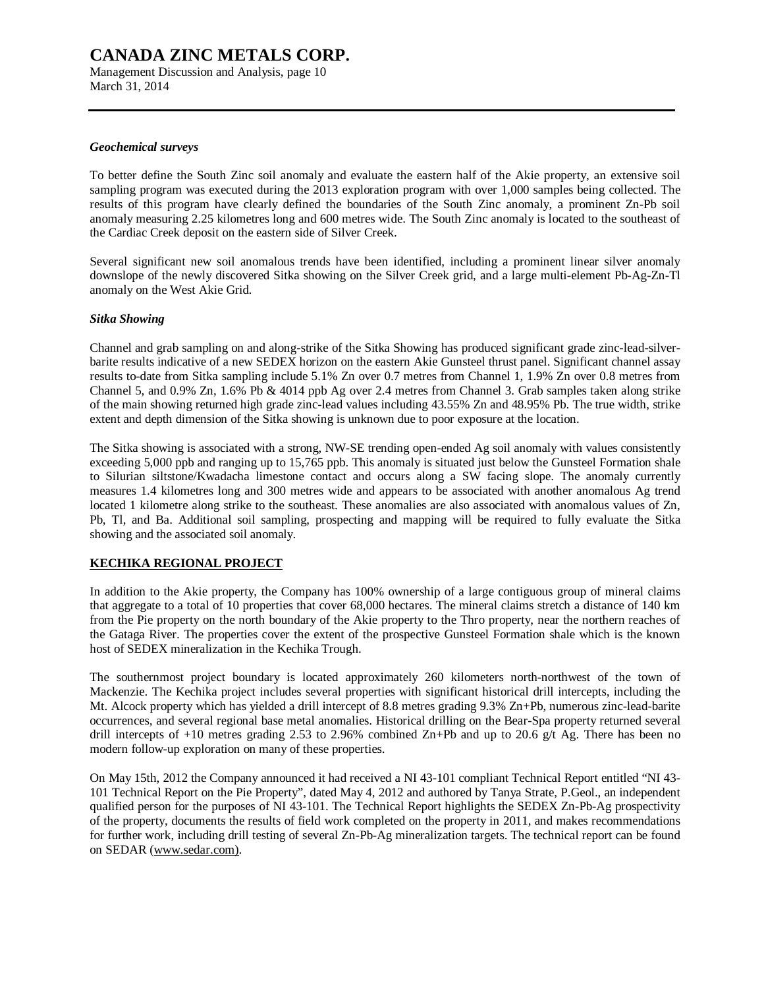Management Discussion and Analysis, page 10 March 31, 2014

#### *Geochemical surveys*

To better define the South Zinc soil anomaly and evaluate the eastern half of the Akie property, an extensive soil sampling program was executed during the 2013 exploration program with over 1,000 samples being collected. The results of this program have clearly defined the boundaries of the South Zinc anomaly, a prominent Zn-Pb soil anomaly measuring 2.25 kilometres long and 600 metres wide. The South Zinc anomaly is located to the southeast of the Cardiac Creek deposit on the eastern side of Silver Creek.

Several significant new soil anomalous trends have been identified, including a prominent linear silver anomaly downslope of the newly discovered Sitka showing on the Silver Creek grid, and a large multi-element Pb-Ag-Zn-Tl anomaly on the West Akie Grid.

### *Sitka Showing*

Channel and grab sampling on and along-strike of the Sitka Showing has produced significant grade zinc-lead-silverbarite results indicative of a new SEDEX horizon on the eastern Akie Gunsteel thrust panel. Significant channel assay results to-date from Sitka sampling include 5.1% Zn over 0.7 metres from Channel 1, 1.9% Zn over 0.8 metres from Channel 5, and 0.9% Zn, 1.6% Pb & 4014 ppb Ag over 2.4 metres from Channel 3. Grab samples taken along strike of the main showing returned high grade zinc-lead values including 43.55% Zn and 48.95% Pb. The true width, strike extent and depth dimension of the Sitka showing is unknown due to poor exposure at the location.

The Sitka showing is associated with a strong, NW-SE trending open-ended Ag soil anomaly with values consistently exceeding 5,000 ppb and ranging up to 15,765 ppb. This anomaly is situated just below the Gunsteel Formation shale to Silurian siltstone/Kwadacha limestone contact and occurs along a SW facing slope. The anomaly currently measures 1.4 kilometres long and 300 metres wide and appears to be associated with another anomalous Ag trend located 1 kilometre along strike to the southeast. These anomalies are also associated with anomalous values of Zn, Pb, Tl, and Ba. Additional soil sampling, prospecting and mapping will be required to fully evaluate the Sitka showing and the associated soil anomaly.

### **KECHIKA REGIONAL PROJECT**

In addition to the Akie property, the Company has 100% ownership of a large contiguous group of mineral claims that aggregate to a total of 10 properties that cover 68,000 hectares. The mineral claims stretch a distance of 140 km from the Pie property on the north boundary of the Akie property to the Thro property, near the northern reaches of the Gataga River. The properties cover the extent of the prospective Gunsteel Formation shale which is the known host of SEDEX mineralization in the Kechika Trough.

The southernmost project boundary is located approximately 260 kilometers north-northwest of the town of Mackenzie. The Kechika project includes several properties with significant historical drill intercepts, including the Mt. Alcock property which has yielded a drill intercept of 8.8 metres grading 9.3% Zn+Pb, numerous zinc-lead-barite occurrences, and several regional base metal anomalies. Historical drilling on the Bear-Spa property returned several drill intercepts of +10 metres grading 2.53 to 2.96% combined Zn+Pb and up to 20.6 g/t Ag. There has been no modern follow-up exploration on many of these properties.

On May 15th, 2012 the Company announced it had received a NI 43-101 compliant Technical Report entitled "NI 43- 101 Technical Report on the Pie Property", dated May 4, 2012 and authored by Tanya Strate, P.Geol., an independent qualified person for the purposes of NI 43-101. The Technical Report highlights the SEDEX Zn-Pb-Ag prospectivity of the property, documents the results of field work completed on the property in 2011, and makes recommendations for further work, including drill testing of several Zn-Pb-Ag mineralization targets. The technical report can be found on SEDAR [\(www.sedar.com\).](http://www.sedar.com))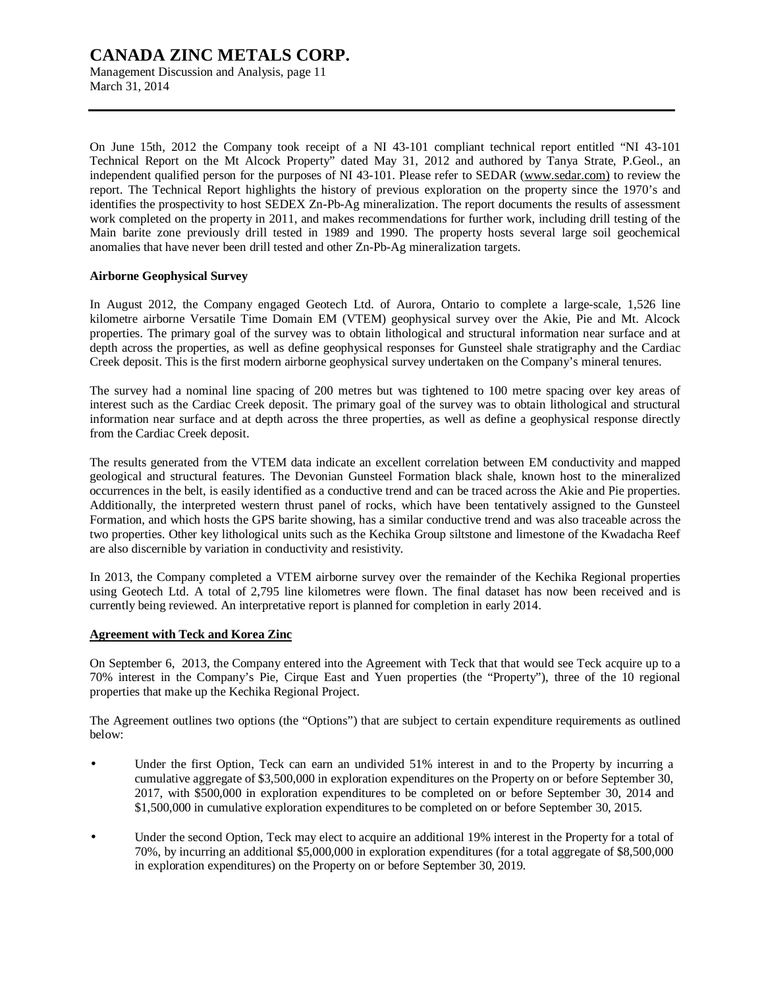Management Discussion and Analysis, page 11 March 31, 2014

On June 15th, 2012 the Company took receipt of a NI 43-101 compliant technical report entitled "NI 43-101 Technical Report on the Mt Alcock Property" dated May 31, 2012 and authored by Tanya Strate, P.Geol., an independent qualified person for the purposes of NI 43-101. Please refer to SEDAR [\(www.sedar.com\)](http://www.sedar.com)) to review the report. The Technical Report highlights the history of previous exploration on the property since the 1970's and identifies the prospectivity to host SEDEX Zn-Pb-Ag mineralization. The report documents the results of assessment work completed on the property in 2011, and makes recommendations for further work, including drill testing of the Main barite zone previously drill tested in 1989 and 1990. The property hosts several large soil geochemical anomalies that have never been drill tested and other Zn-Pb-Ag mineralization targets.

#### **Airborne Geophysical Survey**

In August 2012, the Company engaged Geotech Ltd. of Aurora, Ontario to complete a large-scale, 1,526 line kilometre airborne Versatile Time Domain EM (VTEM) geophysical survey over the Akie, Pie and Mt. Alcock properties. The primary goal of the survey was to obtain lithological and structural information near surface and at depth across the properties, as well as define geophysical responses for Gunsteel shale stratigraphy and the Cardiac Creek deposit. This is the first modern airborne geophysical survey undertaken on the Company's mineral tenures.

The survey had a nominal line spacing of 200 metres but was tightened to 100 metre spacing over key areas of interest such as the Cardiac Creek deposit. The primary goal of the survey was to obtain lithological and structural information near surface and at depth across the three properties, as well as define a geophysical response directly from the Cardiac Creek deposit.

The results generated from the VTEM data indicate an excellent correlation between EM conductivity and mapped geological and structural features. The Devonian Gunsteel Formation black shale, known host to the mineralized occurrences in the belt, is easily identified as a conductive trend and can be traced across the Akie and Pie properties. Additionally, the interpreted western thrust panel of rocks, which have been tentatively assigned to the Gunsteel Formation, and which hosts the GPS barite showing, has a similar conductive trend and was also traceable across the two properties. Other key lithological units such as the Kechika Group siltstone and limestone of the Kwadacha Reef are also discernible by variation in conductivity and resistivity.

In 2013, the Company completed a VTEM airborne survey over the remainder of the Kechika Regional properties using Geotech Ltd. A total of 2,795 line kilometres were flown. The final dataset has now been received and is currently being reviewed. An interpretative report is planned for completion in early 2014.

### **Agreement with Teck and Korea Zinc**

On September 6, 2013, the Company entered into the Agreement with Teck that that would see Teck acquire up to a 70% interest in the Company's Pie, Cirque East and Yuen properties (the "Property"), three of the 10 regional properties that make up the Kechika Regional Project.

The Agreement outlines two options (the "Options") that are subject to certain expenditure requirements as outlined below:

- Under the first Option, Teck can earn an undivided 51% interest in and to the Property by incurring a cumulative aggregate of \$3,500,000 in exploration expenditures on the Property on or before September 30, 2017, with \$500,000 in exploration expenditures to be completed on or before September 30, 2014 and \$1,500,000 in cumulative exploration expenditures to be completed on or before September 30, 2015.
- Under the second Option, Teck may elect to acquire an additional 19% interest in the Property for a total of 70%, by incurring an additional \$5,000,000 in exploration expenditures (for a total aggregate of \$8,500,000 in exploration expenditures) on the Property on or before September 30, 2019.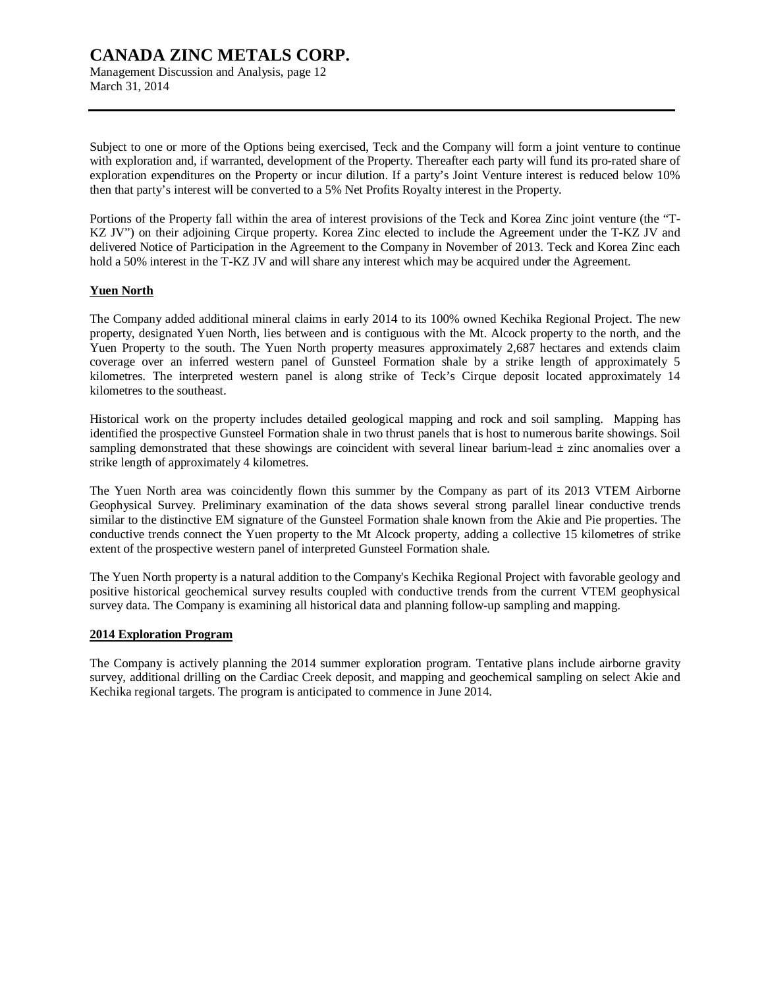Management Discussion and Analysis, page 12 March 31, 2014

Subject to one or more of the Options being exercised, Teck and the Company will form a joint venture to continue with exploration and, if warranted, development of the Property. Thereafter each party will fund its pro-rated share of exploration expenditures on the Property or incur dilution. If a party's Joint Venture interest is reduced below 10% then that party's interest will be converted to a 5% Net Profits Royalty interest in the Property.

Portions of the Property fall within the area of interest provisions of the Teck and Korea Zinc joint venture (the "T-KZ JV") on their adjoining Cirque property. Korea Zinc elected to include the Agreement under the T-KZ JV and delivered Notice of Participation in the Agreement to the Company in November of 2013. Teck and Korea Zinc each hold a 50% interest in the T-KZ JV and will share any interest which may be acquired under the Agreement.

### **Yuen North**

The Company added additional mineral claims in early 2014 to its 100% owned Kechika Regional Project. The new property, designated Yuen North, lies between and is contiguous with the Mt. Alcock property to the north, and the Yuen Property to the south. The Yuen North property measures approximately 2,687 hectares and extends claim coverage over an inferred western panel of Gunsteel Formation shale by a strike length of approximately 5 kilometres. The interpreted western panel is along strike of Teck's Cirque deposit located approximately 14 kilometres to the southeast.

Historical work on the property includes detailed geological mapping and rock and soil sampling. Mapping has identified the prospective Gunsteel Formation shale in two thrust panels that is host to numerous barite showings. Soil sampling demonstrated that these showings are coincident with several linear barium-lead  $\pm$  zinc anomalies over a strike length of approximately 4 kilometres.

The Yuen North area was coincidently flown this summer by the Company as part of its 2013 VTEM Airborne Geophysical Survey. Preliminary examination of the data shows several strong parallel linear conductive trends similar to the distinctive EM signature of the Gunsteel Formation shale known from the Akie and Pie properties. The conductive trends connect the Yuen property to the Mt Alcock property, adding a collective 15 kilometres of strike extent of the prospective western panel of interpreted Gunsteel Formation shale.

The Yuen North property is a natural addition to the Company's Kechika Regional Project with favorable geology and positive historical geochemical survey results coupled with conductive trends from the current VTEM geophysical survey data. The Company is examining all historical data and planning follow-up sampling and mapping.

### **2014 Exploration Program**

The Company is actively planning the 2014 summer exploration program. Tentative plans include airborne gravity survey, additional drilling on the Cardiac Creek deposit, and mapping and geochemical sampling on select Akie and Kechika regional targets. The program is anticipated to commence in June 2014.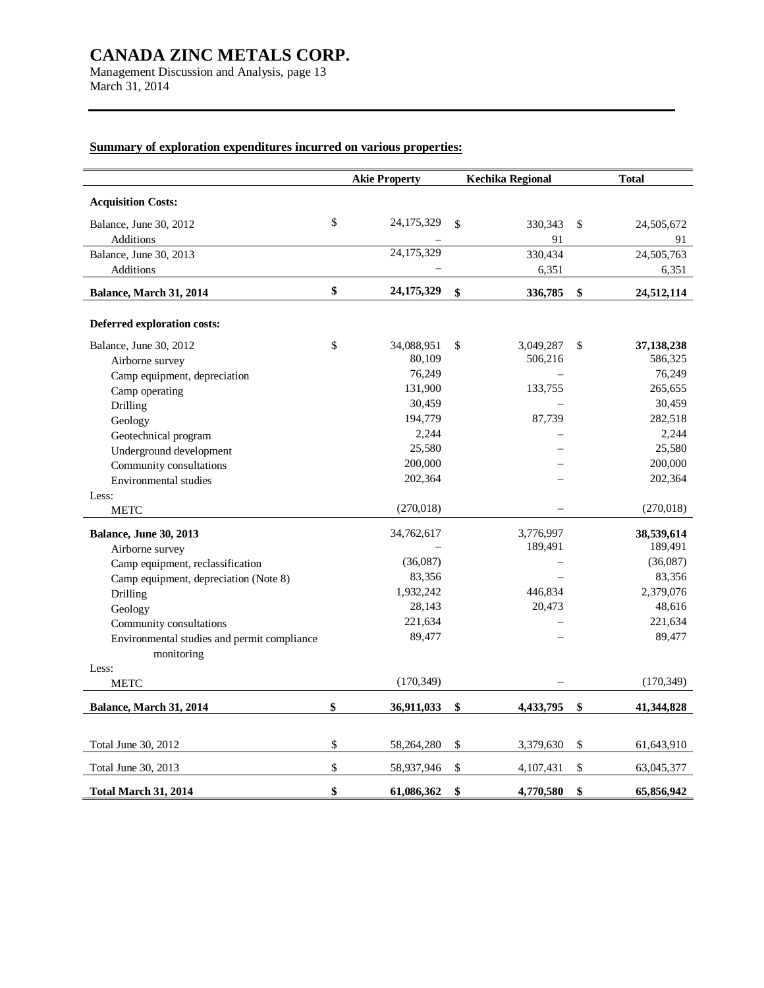Management Discussion and Analysis, page 13 March 31, 2014

# **Summary of exploration expenditures incurred on various properties:**

|                                             | <b>Akie Property</b> |                    | <b>Kechika Regional</b> | <b>Total</b>     |
|---------------------------------------------|----------------------|--------------------|-------------------------|------------------|
| <b>Acquisition Costs:</b>                   |                      |                    |                         |                  |
| Balance, June 30, 2012                      | \$<br>24,175,329     | \$                 | 330,343                 | \$<br>24,505,672 |
| Additions                                   |                      |                    | 91                      | 91               |
| Balance, June 30, 2013                      | 24,175,329           |                    | 330,434                 | 24,505,763       |
| Additions                                   |                      |                    | 6,351                   | 6,351            |
| Balance, March 31, 2014                     | \$<br>24,175,329     | $\mathbf{\hat{S}}$ | 336,785                 | \$<br>24,512,114 |
| Deferred exploration costs:                 |                      |                    |                         |                  |
| Balance, June 30, 2012                      | \$<br>34,088,951     | \$                 | 3,049,287               | \$<br>37,138,238 |
| Airborne survey                             | 80,109               |                    | 506,216                 | 586,325          |
| Camp equipment, depreciation                | 76,249               |                    |                         | 76,249           |
| Camp operating                              | 131,900              |                    | 133,755                 | 265,655          |
| Drilling                                    | 30,459               |                    |                         | 30,459           |
| Geology                                     | 194,779              |                    | 87,739                  | 282,518          |
| Geotechnical program                        | 2,244                |                    |                         | 2,244            |
| Underground development                     | 25,580               |                    |                         | 25,580           |
| Community consultations                     | 200,000              |                    |                         | 200,000          |
| Environmental studies                       | 202,364              |                    |                         | 202,364          |
| Less:                                       |                      |                    |                         |                  |
| <b>METC</b>                                 | (270, 018)           |                    |                         | (270,018)        |
| <b>Balance, June 30, 2013</b>               | 34,762,617           |                    | 3,776,997               | 38,539,614       |
| Airborne survey                             |                      |                    | 189,491                 | 189,491          |
| Camp equipment, reclassification            | (36,087)             |                    |                         | (36,087)         |
| Camp equipment, depreciation (Note 8)       | 83,356               |                    |                         | 83,356           |
| Drilling                                    | 1,932,242            |                    | 446,834                 | 2,379,076        |
| Geology                                     | 28,143               |                    | 20,473                  | 48,616           |
| Community consultations                     | 221,634              |                    |                         | 221,634          |
| Environmental studies and permit compliance | 89,477               |                    |                         | 89,477           |
| monitoring                                  |                      |                    |                         |                  |
| Less:                                       |                      |                    |                         |                  |
| <b>METC</b>                                 | (170, 349)           |                    |                         | (170, 349)       |
| Balance, March 31, 2014                     | \$<br>36,911,033     | \$                 | 4,433,795               | \$<br>41,344,828 |
|                                             |                      |                    |                         |                  |
| Total June 30, 2012                         | \$<br>58,264,280     | \$                 | 3,379,630               | \$<br>61,643,910 |
| Total June 30, 2013                         | \$<br>58,937,946     | $\$$               | 4,107,431               | \$<br>63,045,377 |
| <b>Total March 31, 2014</b>                 | \$<br>61,086,362     | \$                 | 4,770,580               | \$<br>65,856,942 |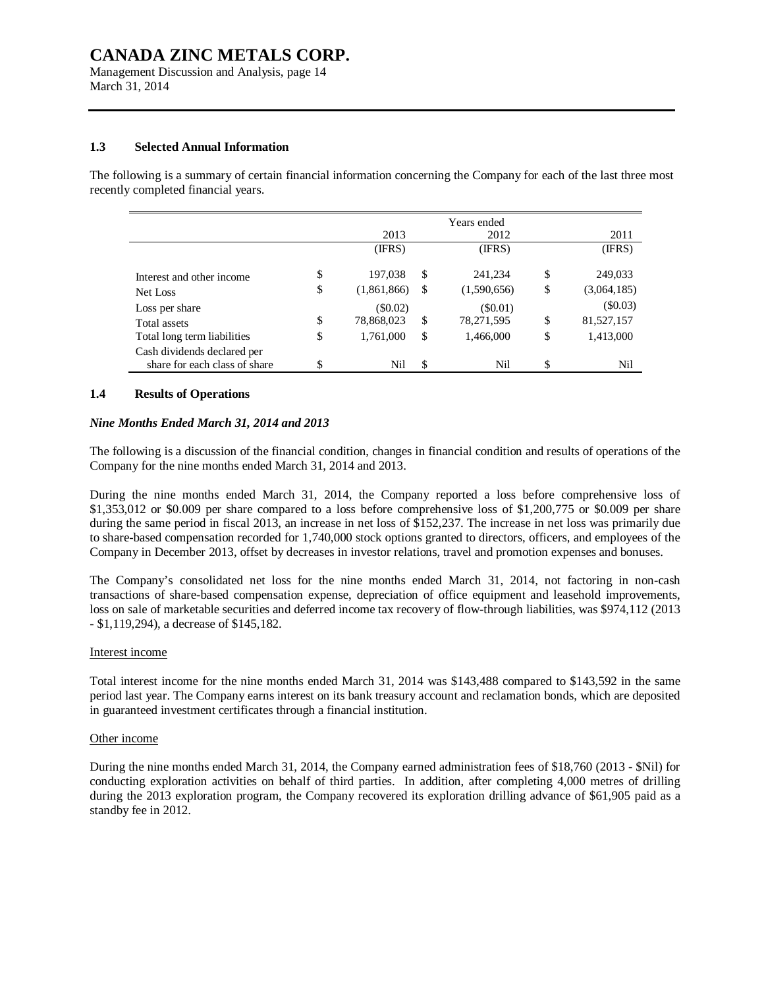Management Discussion and Analysis, page 14 March 31, 2014

### **1.3 Selected Annual Information**

The following is a summary of certain financial information concerning the Company for each of the last three most recently completed financial years.

|                                                              |                   |    | Years ended |                   |
|--------------------------------------------------------------|-------------------|----|-------------|-------------------|
|                                                              | 2013              |    | 2012        | 2011              |
|                                                              | (IFRS)            |    | (IFRS)      | (IFRS)            |
| Interest and other income                                    | \$<br>197,038     | S  | 241,234     | \$<br>249,033     |
| Net Loss                                                     | \$<br>(1,861,866) | \$ | (1,590,656) | \$<br>(3,064,185) |
| Loss per share                                               | $(\$0.02)$        |    | (S0.01)     | (\$0.03)          |
| Total assets                                                 | \$<br>78,868,023  | \$ | 78,271,595  | \$<br>81,527,157  |
| Total long term liabilities                                  | \$<br>1,761,000   | \$ | 1,466,000   | \$<br>1,413,000   |
| Cash dividends declared per<br>share for each class of share | Nil               | \$ | Nil         | Nil               |

#### **1.4 Results of Operations**

#### *Nine Months Ended March 31, 2014 and 2013*

The following is a discussion of the financial condition, changes in financial condition and results of operations of the Company for the nine months ended March 31, 2014 and 2013.

During the nine months ended March 31, 2014, the Company reported a loss before comprehensive loss of \$1,353,012 or \$0.009 per share compared to a loss before comprehensive loss of \$1,200,775 or \$0.009 per share during the same period in fiscal 2013, an increase in net loss of \$152,237. The increase in net loss was primarily due to share-based compensation recorded for 1,740,000 stock options granted to directors, officers, and employees of the Company in December 2013, offset by decreases in investor relations, travel and promotion expenses and bonuses.

The Company's consolidated net loss for the nine months ended March 31, 2014, not factoring in non-cash transactions of share-based compensation expense, depreciation of office equipment and leasehold improvements, loss on sale of marketable securities and deferred income tax recovery of flow-through liabilities, was \$974,112 (2013 - \$1,119,294), a decrease of \$145,182.

#### Interest income

Total interest income for the nine months ended March 31, 2014 was \$143,488 compared to \$143,592 in the same period last year. The Company earns interest on its bank treasury account and reclamation bonds, which are deposited in guaranteed investment certificates through a financial institution.

#### Other income

During the nine months ended March 31, 2014, the Company earned administration fees of \$18,760 (2013 - \$Nil) for conducting exploration activities on behalf of third parties. In addition, after completing 4,000 metres of drilling during the 2013 exploration program, the Company recovered its exploration drilling advance of \$61,905 paid as a standby fee in 2012.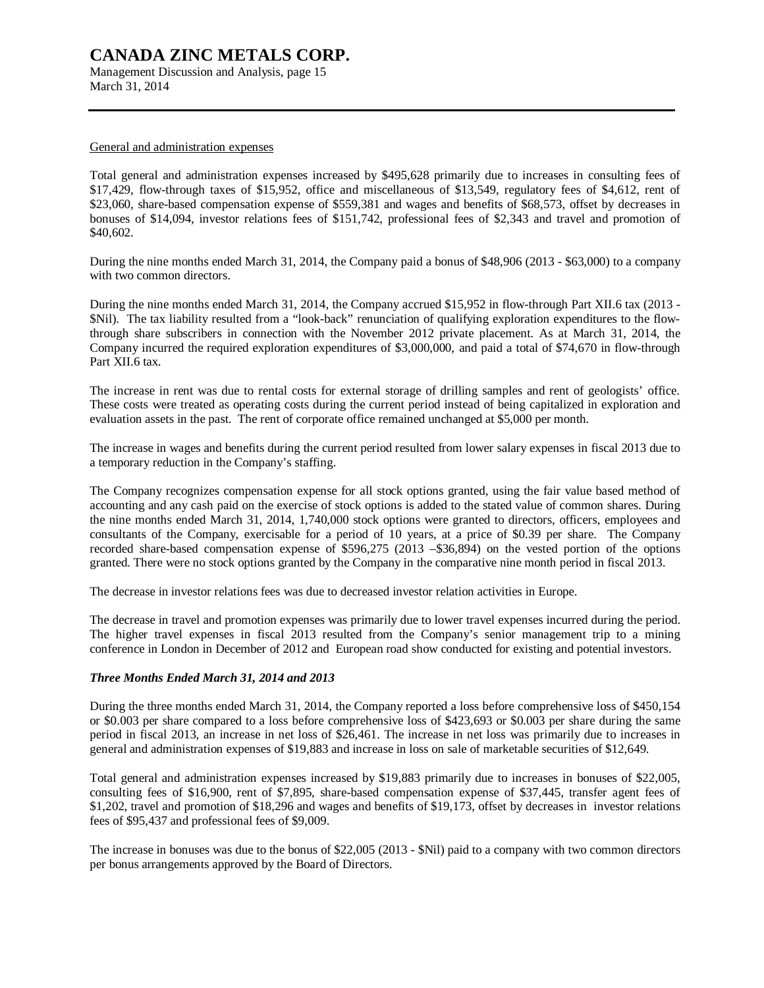Management Discussion and Analysis, page 15 March 31, 2014

### General and administration expenses

Total general and administration expenses increased by \$495,628 primarily due to increases in consulting fees of \$17,429, flow-through taxes of \$15,952, office and miscellaneous of \$13,549, regulatory fees of \$4,612, rent of \$23,060, share-based compensation expense of \$559,381 and wages and benefits of \$68,573, offset by decreases in bonuses of \$14,094, investor relations fees of \$151,742, professional fees of \$2,343 and travel and promotion of \$40,602.

During the nine months ended March 31, 2014, the Company paid a bonus of \$48,906 (2013 - \$63,000) to a company with two common directors.

During the nine months ended March 31, 2014, the Company accrued \$15,952 in flow-through Part XII.6 tax (2013 - \$Nil). The tax liability resulted from a "look-back" renunciation of qualifying exploration expenditures to the flowthrough share subscribers in connection with the November 2012 private placement. As at March 31, 2014, the Company incurred the required exploration expenditures of \$3,000,000, and paid a total of \$74,670 in flow-through Part XII.6 tax.

The increase in rent was due to rental costs for external storage of drilling samples and rent of geologists' office. These costs were treated as operating costs during the current period instead of being capitalized in exploration and evaluation assets in the past. The rent of corporate office remained unchanged at \$5,000 per month.

The increase in wages and benefits during the current period resulted from lower salary expenses in fiscal 2013 due to a temporary reduction in the Company's staffing.

The Company recognizes compensation expense for all stock options granted, using the fair value based method of accounting and any cash paid on the exercise of stock options is added to the stated value of common shares. During the nine months ended March 31, 2014, 1,740,000 stock options were granted to directors, officers, employees and consultants of the Company, exercisable for a period of 10 years, at a price of \$0.39 per share. The Company recorded share-based compensation expense of \$596,275 (2013 –\$36,894) on the vested portion of the options granted. There were no stock options granted by the Company in the comparative nine month period in fiscal 2013.

The decrease in investor relations fees was due to decreased investor relation activities in Europe.

The decrease in travel and promotion expenses was primarily due to lower travel expenses incurred during the period. The higher travel expenses in fiscal 2013 resulted from the Company's senior management trip to a mining conference in London in December of 2012 and European road show conducted for existing and potential investors.

### *Three Months Ended March 31, 2014 and 2013*

During the three months ended March 31, 2014, the Company reported a loss before comprehensive loss of \$450,154 or \$0.003 per share compared to a loss before comprehensive loss of \$423,693 or \$0.003 per share during the same period in fiscal 2013, an increase in net loss of \$26,461. The increase in net loss was primarily due to increases in general and administration expenses of \$19,883 and increase in loss on sale of marketable securities of \$12,649.

Total general and administration expenses increased by \$19,883 primarily due to increases in bonuses of \$22,005, consulting fees of \$16,900, rent of \$7,895, share-based compensation expense of \$37,445, transfer agent fees of \$1,202, travel and promotion of \$18,296 and wages and benefits of \$19,173, offset by decreases in investor relations fees of \$95,437 and professional fees of \$9,009.

The increase in bonuses was due to the bonus of \$22,005 (2013 - \$Nil) paid to a company with two common directors per bonus arrangements approved by the Board of Directors.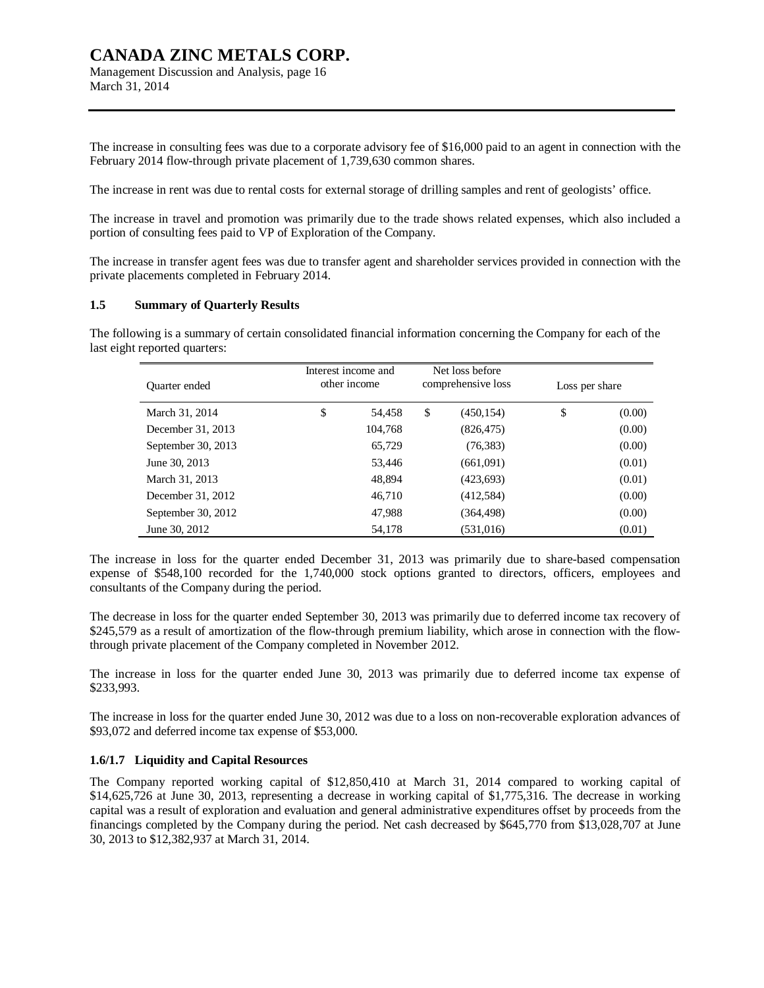Management Discussion and Analysis, page 16 March 31, 2014

The increase in consulting fees was due to a corporate advisory fee of \$16,000 paid to an agent in connection with the February 2014 flow-through private placement of 1,739,630 common shares.

The increase in rent was due to rental costs for external storage of drilling samples and rent of geologists' office.

The increase in travel and promotion was primarily due to the trade shows related expenses, which also included a portion of consulting fees paid to VP of Exploration of the Company.

The increase in transfer agent fees was due to transfer agent and shareholder services provided in connection with the private placements completed in February 2014.

#### **1.5 Summary of Quarterly Results**

The following is a summary of certain consolidated financial information concerning the Company for each of the last eight reported quarters:

| Quarter ended      | Interest income and<br>other income | Net loss before<br>comprehensive loss | Loss per share |        |
|--------------------|-------------------------------------|---------------------------------------|----------------|--------|
| March 31, 2014     | \$<br>54,458                        | \$<br>(450, 154)                      | \$             | (0.00) |
| December 31, 2013  | 104.768                             | (826, 475)                            |                | (0.00) |
| September 30, 2013 | 65,729                              | (76, 383)                             |                | (0.00) |
| June 30, 2013      | 53.446                              | (661,091)                             |                | (0.01) |
| March 31, 2013     | 48,894                              | (423, 693)                            |                | (0.01) |
| December 31, 2012  | 46,710                              | (412,584)                             |                | (0.00) |
| September 30, 2012 | 47,988                              | (364, 498)                            |                | (0.00) |
| June 30, 2012      | 54,178                              | (531, 016)                            |                | (0.01) |

The increase in loss for the quarter ended December 31, 2013 was primarily due to share-based compensation expense of \$548,100 recorded for the 1,740,000 stock options granted to directors, officers, employees and consultants of the Company during the period.

The decrease in loss for the quarter ended September 30, 2013 was primarily due to deferred income tax recovery of \$245,579 as a result of amortization of the flow-through premium liability, which arose in connection with the flowthrough private placement of the Company completed in November 2012.

The increase in loss for the quarter ended June 30, 2013 was primarily due to deferred income tax expense of \$233,993.

The increase in loss for the quarter ended June 30, 2012 was due to a loss on non-recoverable exploration advances of \$93,072 and deferred income tax expense of \$53,000.

#### **1.6/1.7 Liquidity and Capital Resources**

The Company reported working capital of \$12,850,410 at March 31, 2014 compared to working capital of \$14,625,726 at June 30, 2013, representing a decrease in working capital of \$1,775,316. The decrease in working capital was a result of exploration and evaluation and general administrative expenditures offset by proceeds from the financings completed by the Company during the period. Net cash decreased by \$645,770 from \$13,028,707 at June 30, 2013 to \$12,382,937 at March 31, 2014.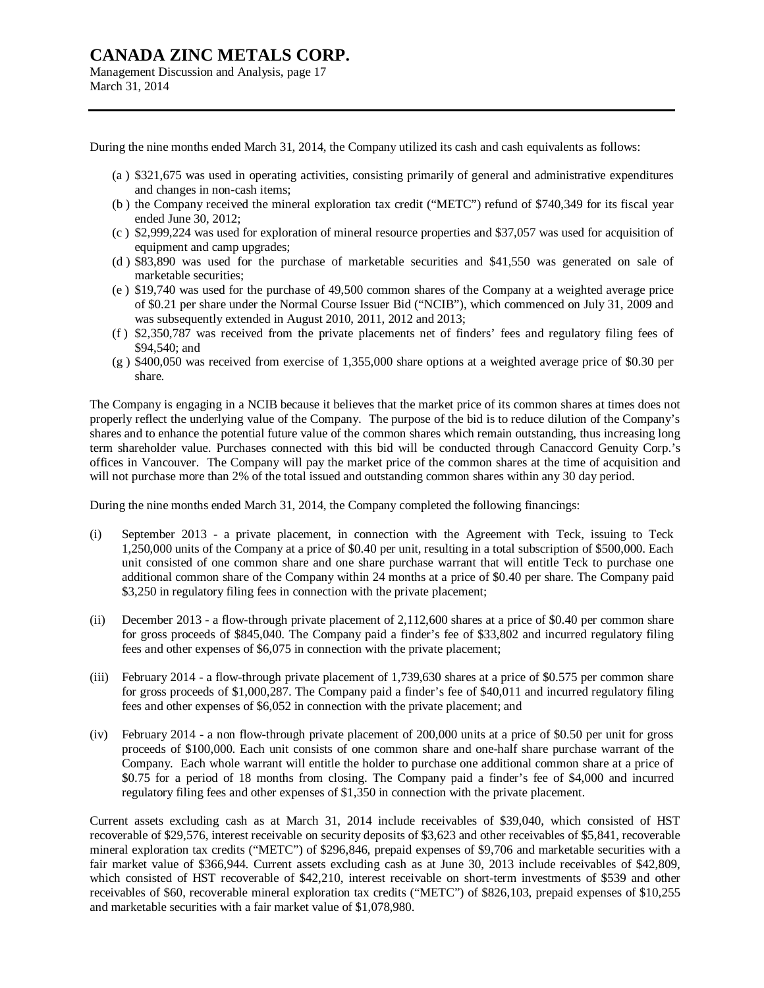Management Discussion and Analysis, page 17 March 31, 2014

During the nine months ended March 31, 2014, the Company utilized its cash and cash equivalents as follows:

- (a ) \$321,675 was used in operating activities, consisting primarily of general and administrative expenditures and changes in non-cash items;
- (b ) the Company received the mineral exploration tax credit ("METC") refund of \$740,349 for its fiscal year ended June 30, 2012;
- (c ) \$2,999,224 was used for exploration of mineral resource properties and \$37,057 was used for acquisition of equipment and camp upgrades;
- (d ) \$83,890 was used for the purchase of marketable securities and \$41,550 was generated on sale of marketable securities;
- (e ) \$19,740 was used for the purchase of 49,500 common shares of the Company at a weighted average price of \$0.21 per share under the Normal Course Issuer Bid ("NCIB"), which commenced on July 31, 2009 and was subsequently extended in August 2010, 2011, 2012 and 2013;
- (f ) \$2,350,787 was received from the private placements net of finders' fees and regulatory filing fees of \$94,540; and
- (g ) \$400,050 was received from exercise of 1,355,000 share options at a weighted average price of \$0.30 per share.

The Company is engaging in a NCIB because it believes that the market price of its common shares at times does not properly reflect the underlying value of the Company. The purpose of the bid is to reduce dilution of the Company's shares and to enhance the potential future value of the common shares which remain outstanding, thus increasing long term shareholder value. Purchases connected with this bid will be conducted through Canaccord Genuity Corp.'s offices in Vancouver. The Company will pay the market price of the common shares at the time of acquisition and will not purchase more than 2% of the total issued and outstanding common shares within any 30 day period.

During the nine months ended March 31, 2014, the Company completed the following financings:

- (i) September 2013 a private placement, in connection with the Agreement with Teck, issuing to Teck 1,250,000 units of the Company at a price of \$0.40 per unit, resulting in a total subscription of \$500,000. Each unit consisted of one common share and one share purchase warrant that will entitle Teck to purchase one additional common share of the Company within 24 months at a price of \$0.40 per share. The Company paid \$3,250 in regulatory filing fees in connection with the private placement;
- (ii) December 2013 a flow-through private placement of 2,112,600 shares at a price of \$0.40 per common share for gross proceeds of \$845,040. The Company paid a finder's fee of \$33,802 and incurred regulatory filing fees and other expenses of \$6,075 in connection with the private placement;
- (iii) February 2014 a flow-through private placement of 1,739,630 shares at a price of \$0.575 per common share for gross proceeds of \$1,000,287. The Company paid a finder's fee of \$40,011 and incurred regulatory filing fees and other expenses of \$6,052 in connection with the private placement; and
- (iv) February 2014 a non flow-through private placement of 200,000 units at a price of \$0.50 per unit for gross proceeds of \$100,000. Each unit consists of one common share and one-half share purchase warrant of the Company. Each whole warrant will entitle the holder to purchase one additional common share at a price of \$0.75 for a period of 18 months from closing. The Company paid a finder's fee of \$4,000 and incurred regulatory filing fees and other expenses of \$1,350 in connection with the private placement.

Current assets excluding cash as at March 31, 2014 include receivables of \$39,040, which consisted of HST recoverable of \$29,576, interest receivable on security deposits of \$3,623 and other receivables of \$5,841, recoverable mineral exploration tax credits ("METC") of \$296,846, prepaid expenses of \$9,706 and marketable securities with a fair market value of \$366,944. Current assets excluding cash as at June 30, 2013 include receivables of \$42,809, which consisted of HST recoverable of \$42,210, interest receivable on short-term investments of \$539 and other receivables of \$60, recoverable mineral exploration tax credits ("METC") of \$826,103, prepaid expenses of \$10,255 and marketable securities with a fair market value of \$1,078,980.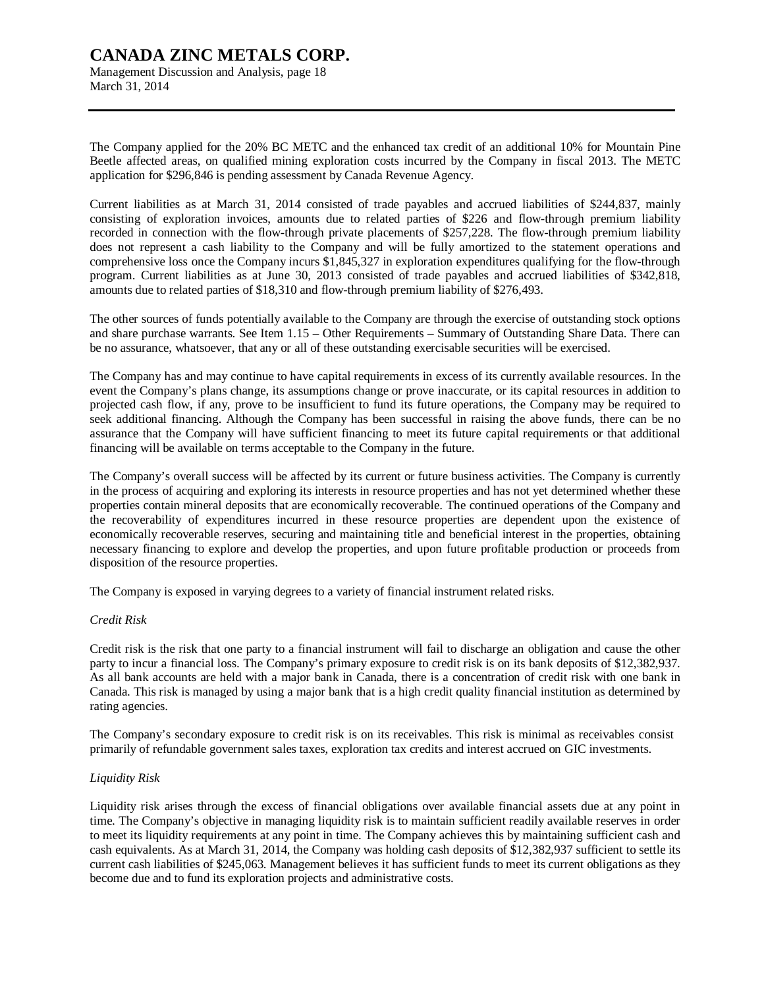Management Discussion and Analysis, page 18 March 31, 2014

The Company applied for the 20% BC METC and the enhanced tax credit of an additional 10% for Mountain Pine Beetle affected areas, on qualified mining exploration costs incurred by the Company in fiscal 2013. The METC application for \$296,846 is pending assessment by Canada Revenue Agency.

Current liabilities as at March 31, 2014 consisted of trade payables and accrued liabilities of \$244,837, mainly consisting of exploration invoices, amounts due to related parties of \$226 and flow-through premium liability recorded in connection with the flow-through private placements of \$257,228. The flow-through premium liability does not represent a cash liability to the Company and will be fully amortized to the statement operations and comprehensive loss once the Company incurs \$1,845,327 in exploration expenditures qualifying for the flow-through program. Current liabilities as at June 30, 2013 consisted of trade payables and accrued liabilities of \$342,818, amounts due to related parties of \$18,310 and flow-through premium liability of \$276,493.

The other sources of funds potentially available to the Company are through the exercise of outstanding stock options and share purchase warrants. See Item 1.15 – Other Requirements – Summary of Outstanding Share Data. There can be no assurance, whatsoever, that any or all of these outstanding exercisable securities will be exercised.

The Company has and may continue to have capital requirements in excess of its currently available resources. In the event the Company's plans change, its assumptions change or prove inaccurate, or its capital resources in addition to projected cash flow, if any, prove to be insufficient to fund its future operations, the Company may be required to seek additional financing. Although the Company has been successful in raising the above funds, there can be no assurance that the Company will have sufficient financing to meet its future capital requirements or that additional financing will be available on terms acceptable to the Company in the future.

The Company's overall success will be affected by its current or future business activities. The Company is currently in the process of acquiring and exploring its interests in resource properties and has not yet determined whether these properties contain mineral deposits that are economically recoverable. The continued operations of the Company and the recoverability of expenditures incurred in these resource properties are dependent upon the existence of economically recoverable reserves, securing and maintaining title and beneficial interest in the properties, obtaining necessary financing to explore and develop the properties, and upon future profitable production or proceeds from disposition of the resource properties.

The Company is exposed in varying degrees to a variety of financial instrument related risks.

### *Credit Risk*

Credit risk is the risk that one party to a financial instrument will fail to discharge an obligation and cause the other party to incur a financial loss. The Company's primary exposure to credit risk is on its bank deposits of \$12,382,937. As all bank accounts are held with a major bank in Canada, there is a concentration of credit risk with one bank in Canada. This risk is managed by using a major bank that is a high credit quality financial institution as determined by rating agencies.

The Company's secondary exposure to credit risk is on its receivables. This risk is minimal as receivables consist primarily of refundable government sales taxes, exploration tax credits and interest accrued on GIC investments.

### *Liquidity Risk*

Liquidity risk arises through the excess of financial obligations over available financial assets due at any point in time. The Company's objective in managing liquidity risk is to maintain sufficient readily available reserves in order to meet its liquidity requirements at any point in time. The Company achieves this by maintaining sufficient cash and cash equivalents. As at March 31, 2014, the Company was holding cash deposits of \$12,382,937 sufficient to settle its current cash liabilities of \$245,063. Management believes it has sufficient funds to meet its current obligations as they become due and to fund its exploration projects and administrative costs.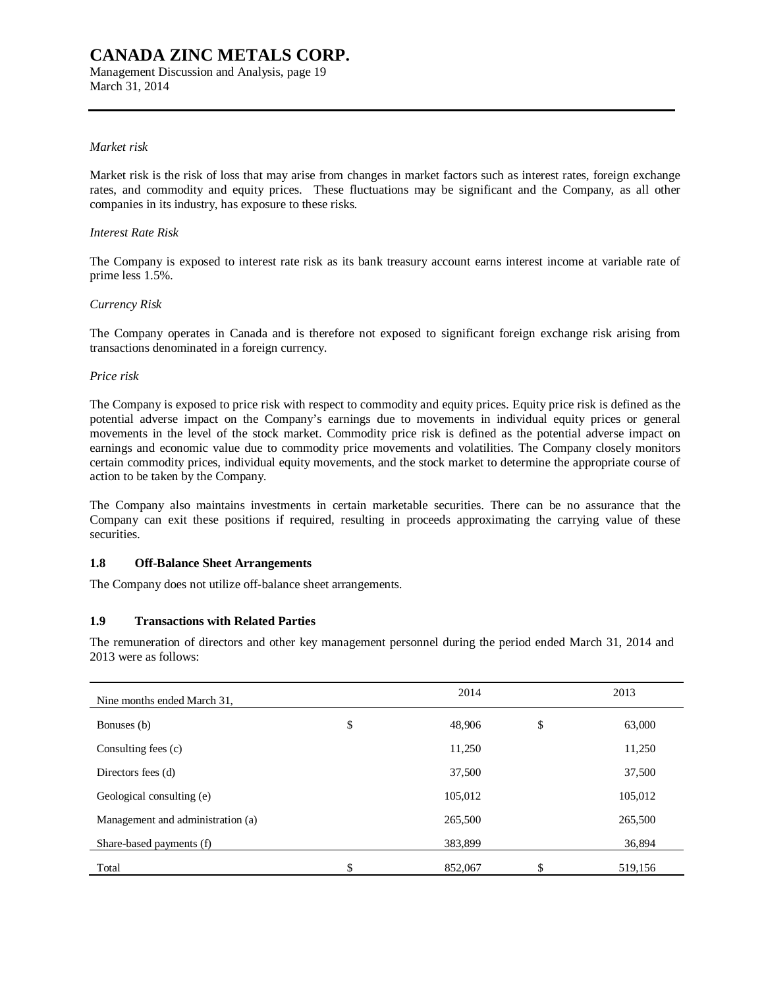Management Discussion and Analysis, page 19 March 31, 2014

### *Market risk*

Market risk is the risk of loss that may arise from changes in market factors such as interest rates, foreign exchange rates, and commodity and equity prices. These fluctuations may be significant and the Company, as all other companies in its industry, has exposure to these risks.

#### *Interest Rate Risk*

The Company is exposed to interest rate risk as its bank treasury account earns interest income at variable rate of prime less 1.5%.

#### *Currency Risk*

The Company operates in Canada and is therefore not exposed to significant foreign exchange risk arising from transactions denominated in a foreign currency.

#### *Price risk*

The Company is exposed to price risk with respect to commodity and equity prices. Equity price risk is defined as the potential adverse impact on the Company's earnings due to movements in individual equity prices or general movements in the level of the stock market. Commodity price risk is defined as the potential adverse impact on earnings and economic value due to commodity price movements and volatilities. The Company closely monitors certain commodity prices, individual equity movements, and the stock market to determine the appropriate course of action to be taken by the Company.

The Company also maintains investments in certain marketable securities. There can be no assurance that the Company can exit these positions if required, resulting in proceeds approximating the carrying value of these securities.

### **1.8 Off-Balance Sheet Arrangements**

The Company does not utilize off-balance sheet arrangements.

### **1.9 Transactions with Related Parties**

The remuneration of directors and other key management personnel during the period ended March 31, 2014 and 2013 were as follows:

| Nine months ended March 31,       | 2014          | 2013         |
|-----------------------------------|---------------|--------------|
| Bonuses (b)                       | \$<br>48,906  | \$<br>63,000 |
| Consulting fees (c)               | 11,250        | 11,250       |
| Directors fees (d)                | 37,500        | 37,500       |
| Geological consulting (e)         | 105,012       | 105,012      |
| Management and administration (a) | 265,500       | 265,500      |
| Share-based payments (f)          | 383,899       | 36,894       |
| Total                             | \$<br>852,067 | 519,156      |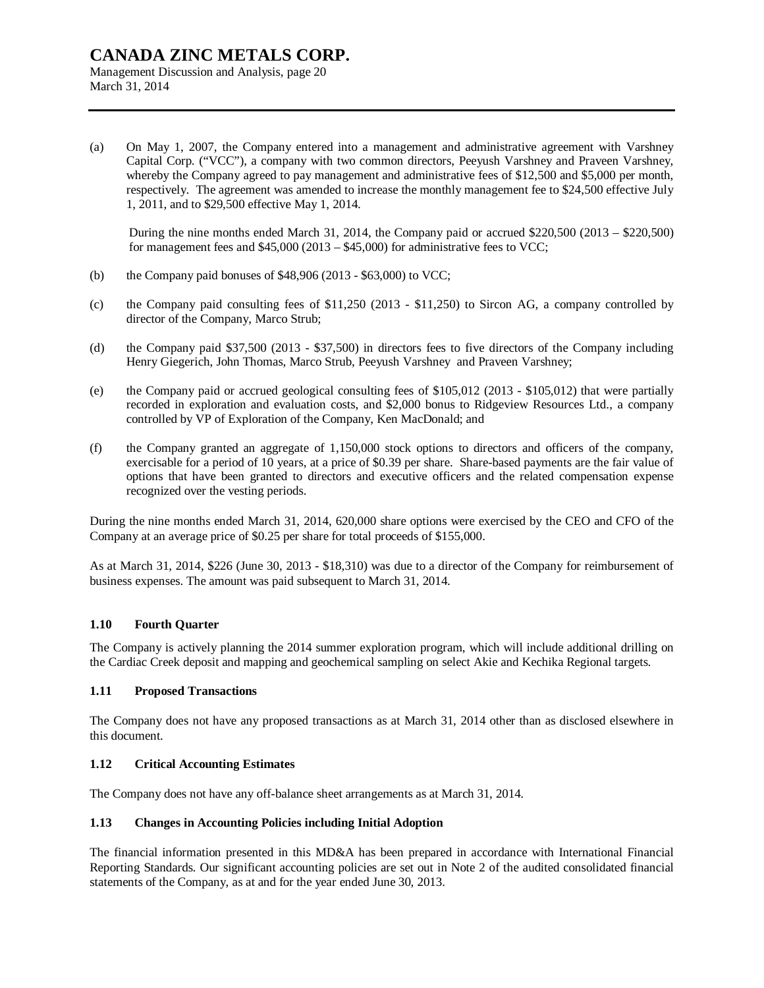Management Discussion and Analysis, page 20 March 31, 2014

(a) On May 1, 2007, the Company entered into a management and administrative agreement with Varshney Capital Corp. ("VCC"), a company with two common directors, Peeyush Varshney and Praveen Varshney, whereby the Company agreed to pay management and administrative fees of \$12,500 and \$5,000 per month, respectively. The agreement was amended to increase the monthly management fee to \$24,500 effective July 1, 2011, and to \$29,500 effective May 1, 2014.

During the nine months ended March 31, 2014, the Company paid or accrued  $$220,500 (2013 - $220,500)$ for management fees and  $$45,000 (2013 - $45,000)$  for administrative fees to VCC;

- (b) the Company paid bonuses of  $$48,906 (2013 $63,000)$  to VCC;
- (c) the Company paid consulting fees of \$11,250 (2013 \$11,250) to Sircon AG, a company controlled by director of the Company, Marco Strub;
- (d) the Company paid \$37,500 (2013 \$37,500) in directors fees to five directors of the Company including Henry Giegerich, John Thomas, Marco Strub, Peeyush Varshney and Praveen Varshney;
- (e) the Company paid or accrued geological consulting fees of \$105,012 (2013 \$105,012) that were partially recorded in exploration and evaluation costs, and \$2,000 bonus to Ridgeview Resources Ltd., a company controlled by VP of Exploration of the Company, Ken MacDonald; and
- (f) the Company granted an aggregate of 1,150,000 stock options to directors and officers of the company, exercisable for a period of 10 years, at a price of \$0.39 per share. Share-based payments are the fair value of options that have been granted to directors and executive officers and the related compensation expense recognized over the vesting periods.

During the nine months ended March 31, 2014, 620,000 share options were exercised by the CEO and CFO of the Company at an average price of \$0.25 per share for total proceeds of \$155,000.

As at March 31, 2014, \$226 (June 30, 2013 - \$18,310) was due to a director of the Company for reimbursement of business expenses. The amount was paid subsequent to March 31, 2014.

### **1.10 Fourth Quarter**

The Company is actively planning the 2014 summer exploration program, which will include additional drilling on the Cardiac Creek deposit and mapping and geochemical sampling on select Akie and Kechika Regional targets.

### **1.11 Proposed Transactions**

The Company does not have any proposed transactions as at March 31, 2014 other than as disclosed elsewhere in this document.

### **1.12 Critical Accounting Estimates**

The Company does not have any off-balance sheet arrangements as at March 31, 2014.

### **1.13 Changes in Accounting Policies including Initial Adoption**

The financial information presented in this MD&A has been prepared in accordance with International Financial Reporting Standards. Our significant accounting policies are set out in Note 2 of the audited consolidated financial statements of the Company, as at and for the year ended June 30, 2013.